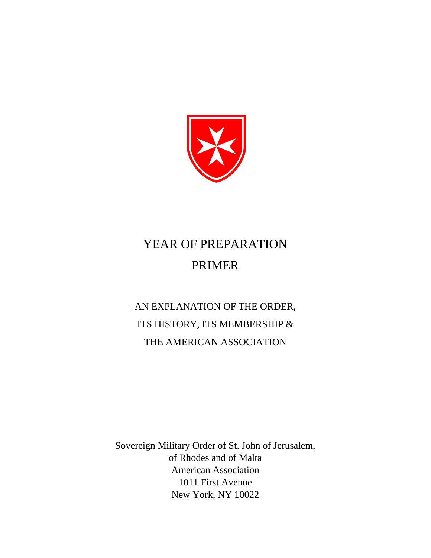

# YEAR OF PREPARATION PRIMER

AN EXPLANATION OF THE ORDER, ITS HISTORY, ITS MEMBERSHIP & THE AMERICAN ASSOCIATION

Sovereign Military Order of St. John of Jerusalem, of Rhodes and of Malta American Association 1011 First Avenue New York, NY 10022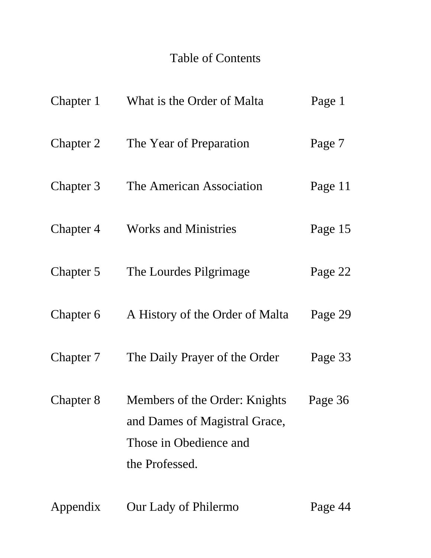# Table of Contents

| Chapter 1 | What is the Order of Malta                                                                                 | Page 1  |
|-----------|------------------------------------------------------------------------------------------------------------|---------|
| Chapter 2 | The Year of Preparation                                                                                    | Page 7  |
| Chapter 3 | The American Association                                                                                   | Page 11 |
| Chapter 4 | <b>Works and Ministries</b>                                                                                | Page 15 |
| Chapter 5 | The Lourdes Pilgrimage                                                                                     | Page 22 |
| Chapter 6 | A History of the Order of Malta                                                                            | Page 29 |
| Chapter 7 | The Daily Prayer of the Order                                                                              | Page 33 |
| Chapter 8 | Members of the Order: Knights<br>and Dames of Magistral Grace,<br>Those in Obedience and<br>the Professed. | Page 36 |
| Appendix  | Our Lady of Philermo                                                                                       | Page 44 |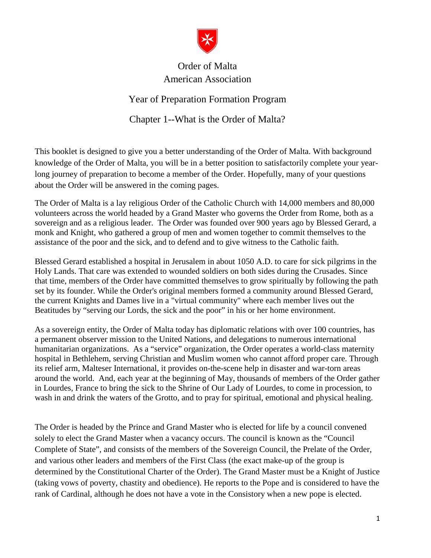

## Order of Malta American Association

## Year of Preparation Formation Program

Chapter 1--What is the Order of Malta?

<span id="page-2-0"></span>This booklet is designed to give you a better understanding of the Order of Malta. With background knowledge of the Order of Malta, you will be in a better position to satisfactorily complete your yearlong journey of preparation to become a member of the Order. Hopefully, many of your questions about the Order will be answered in the coming pages.

The Order of Malta is a lay religious Order of the Catholic Church with 14,000 members and 80,000 volunteers across the world headed by a Grand Master who governs the Order from Rome, both as a sovereign and as a religious leader. The Order was founded over 900 years ago by Blessed Gerard, a monk and Knight, who gathered a group of men and women together to commit themselves to the assistance of the poor and the sick, and to defend and to give witness to the Catholic faith.

Blessed Gerard established a hospital in Jerusalem in about 1050 A.D. to care for sick pilgrims in the Holy Lands. That care was extended to wounded soldiers on both sides during the Crusades. Since that time, members of the Order have committed themselves to grow spiritually by following the path set by its founder. While the Order's original members formed a community around Blessed Gerard, the current Knights and Dames live in a "virtual community" where each member lives out the Beatitudes by "serving our Lords, the sick and the poor" in his or her home environment.

As a sovereign entity, the Order of Malta today has diplomatic relations with over 100 countries, has a permanent observer mission to the United Nations, and delegations to numerous international humanitarian organizations. As a "service" organization, the Order operates a world-class maternity hospital in Bethlehem, serving Christian and Muslim women who cannot afford proper care. Through its relief arm, Malteser International, it provides on-the-scene help in disaster and war-torn areas around the world. And, each year at the beginning of May, thousands of members of the Order gather in Lourdes, France to bring the sick to the Shrine of Our Lady of Lourdes, to come in procession, to wash in and drink the waters of the Grotto, and to pray for spiritual, emotional and physical healing.

The Order is headed by the Prince and Grand Master who is elected for life by a council convened solely to elect the Grand Master when a vacancy occurs. The council is known as the "Council Complete of State", and consists of the members of the Sovereign Council, the Prelate of the Order, and various other leaders and members of the First Class (the exact make-up of the group is determined by the Constitutional Charter of the Order). The Grand Master must be a Knight of Justice (taking vows of poverty, chastity and obedience). He reports to the Pope and is considered to have the rank of Cardinal, although he does not have a vote in the Consistory when a new pope is elected.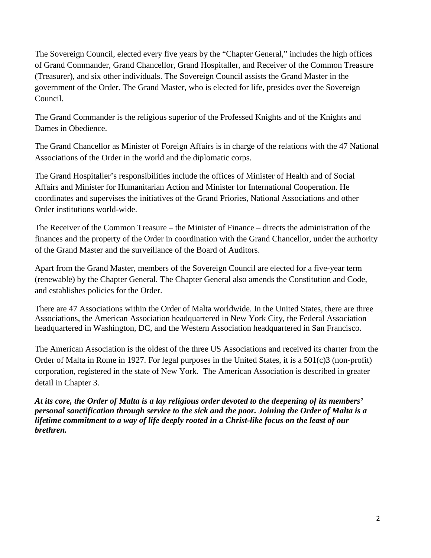The Sovereign Council, elected every five years by the "Chapter General," includes the high offices of Grand Commander, Grand Chancellor, Grand Hospitaller, and Receiver of the Common Treasure (Treasurer), and six other individuals. The Sovereign Council assists the Grand Master in the government of the Order. The Grand Master, who is elected for life, presides over the Sovereign Council.

The Grand Commander is the religious superior of the Professed Knights and of the Knights and Dames in Obedience.

The Grand Chancellor as Minister of Foreign Affairs is in charge of the relations with the 47 National Associations of the Order in the world and the diplomatic corps.

The Grand Hospitaller's responsibilities include the offices of Minister of Health and of Social Affairs and Minister for Humanitarian Action and Minister for International Cooperation. He coordinates and supervises the initiatives of the Grand Priories, National Associations and other Order institutions world-wide.

The Receiver of the Common Treasure – the Minister of Finance – directs the administration of the finances and the property of the Order in coordination with the Grand Chancellor, under the authority of the Grand Master and the surveillance of the Board of Auditors.

Apart from the Grand Master, members of the Sovereign Council are elected for a five-year term (renewable) by the Chapter General. The Chapter General also amends the Constitution and Code, and establishes policies for the Order.

There are 47 Associations within the Order of Malta worldwide. In the United States, there are three Associations, the American Association headquartered in New York City, the Federal Association headquartered in Washington, DC, and the Western Association headquartered in San Francisco.

The American Association is the oldest of the three US Associations and received its charter from the Order of Malta in Rome in 1927. For legal purposes in the United States, it is a 501(c)3 (non-profit) corporation, registered in the state of New York. The American Association is described in greater detail in Chapter 3.

*At its core, the Order of Malta is a lay religious order devoted to the deepening of its members' personal sanctification through service to the sick and the poor. Joining the Order of Malta is a lifetime commitment to a way of life deeply rooted in a Christ-like focus on the least of our brethren.*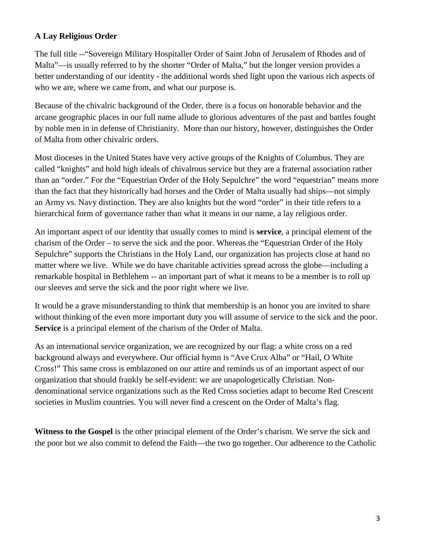## **A Lay Religious Order**

The full title --"Sovereign Military Hospitaller Order of Saint John of Jerusalem of Rhodes and of Malta"—is usually referred to by the shorter "Order of Malta," but the longer version provides a better understanding of our identity - the additional words shed light upon the various rich aspects of who we are, where we came from, and what our purpose is.

Because of the chivalric background of the Order, there is a focus on honorable behavior and the arcane geographic places in our full name allude to glorious adventures of the past and battles fought by noble men in in defense of Christianity. More than our history, however, distinguishes the Order of Malta from other chivalric orders.

Most dioceses in the United States have very active groups of the Knights of Columbus. They are called "knights" and hold high ideals of chivalrous service but they are a fraternal association rather than an "order." For the "Equestrian Order of the Holy Sepulchre" the word "equestrian" means more than the fact that they historically had horses and the Order of Malta usually had ships—not simply an Army vs. Navy distinction. They are also knights but the word "order" in their title refers to a hierarchical form of governance rather than what it means in our name, a lay religious order.

An important aspect of our identity that usually comes to mind is **service**, a principal element of the charism of the Order – to serve the sick and the poor. Whereas the "Equestrian Order of the Holy Sepulchre" supports the Christians in the Holy Land, our organization has projects close at hand no matter where we live. While we do have charitable activities spread across the globe—including a remarkable hospital in Bethlehem -- an important part of what it means to be a member is to roll up our sleeves and serve the sick and the poor right where we live.

It would be a grave misunderstanding to think that membership is an honor you are invited to share without thinking of the even more important duty you will assume of service to the sick and the poor. **Service** is a principal element of the charism of the Order of Malta.

As an international service organization, we are recognized by our flag: a white cross on a red background always and everywhere. Our official hymn is "Ave Crux Alba" or "Hail, O White Cross!" This same cross is emblazoned on our attire and reminds us of an important aspect of our organization that should frankly be self-evident: we are unapologetically Christian. Nondenominational service organizations such as the Red Cross societies adapt to become Red Crescent societies in Muslim countries. You will never find a crescent on the Order of Malta's flag.

**Witness to the Gospel** is the other principal element of the Order's charism. We serve the sick and the poor but we also commit to defend the Faith—the two go together. Our adherence to the Catholic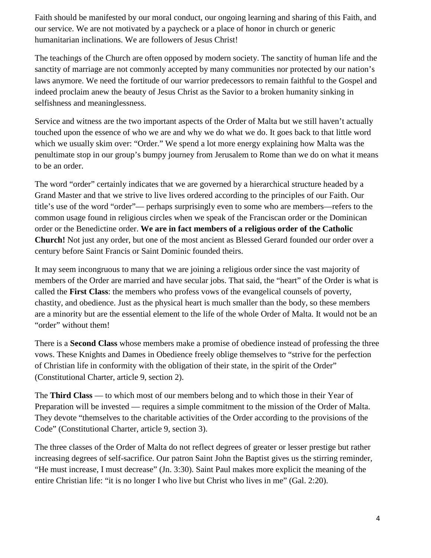Faith should be manifested by our moral conduct, our ongoing learning and sharing of this Faith, and our service. We are not motivated by a paycheck or a place of honor in church or generic humanitarian inclinations. We are followers of Jesus Christ!

The teachings of the Church are often opposed by modern society. The sanctity of human life and the sanctity of marriage are not commonly accepted by many communities nor protected by our nation's laws anymore. We need the fortitude of our warrior predecessors to remain faithful to the Gospel and indeed proclaim anew the beauty of Jesus Christ as the Savior to a broken humanity sinking in selfishness and meaninglessness.

Service and witness are the two important aspects of the Order of Malta but we still haven't actually touched upon the essence of who we are and why we do what we do. It goes back to that little word which we usually skim over: "Order." We spend a lot more energy explaining how Malta was the penultimate stop in our group's bumpy journey from Jerusalem to Rome than we do on what it means to be an order.

The word "order" certainly indicates that we are governed by a hierarchical structure headed by a Grand Master and that we strive to live lives ordered according to the principles of our Faith. Our title's use of the word "order"— perhaps surprisingly even to some who are members—refers to the common usage found in religious circles when we speak of the Franciscan order or the Dominican order or the Benedictine order. **We are in fact members of a religious order of the Catholic Church!** Not just any order, but one of the most ancient as Blessed Gerard founded our order over a century before Saint Francis or Saint Dominic founded theirs.

It may seem incongruous to many that we are joining a religious order since the vast majority of members of the Order are married and have secular jobs. That said, the "heart" of the Order is what is called the **First Class**: the members who profess vows of the evangelical counsels of poverty, chastity, and obedience. Just as the physical heart is much smaller than the body, so these members are a minority but are the essential element to the life of the whole Order of Malta. It would not be an "order" without them!

There is a **Second Class** whose members make a promise of obedience instead of professing the three vows. These Knights and Dames in Obedience freely oblige themselves to "strive for the perfection of Christian life in conformity with the obligation of their state, in the spirit of the Order" (Constitutional Charter, article 9, section 2).

The **Third Class** — to which most of our members belong and to which those in their Year of Preparation will be invested — requires a simple commitment to the mission of the Order of Malta. They devote "themselves to the charitable activities of the Order according to the provisions of the Code" (Constitutional Charter, article 9, section 3).

The three classes of the Order of Malta do not reflect degrees of greater or lesser prestige but rather increasing degrees of self-sacrifice. Our patron Saint John the Baptist gives us the stirring reminder, "He must increase, I must decrease" (Jn. 3:30). Saint Paul makes more explicit the meaning of the entire Christian life: "it is no longer I who live but Christ who lives in me" (Gal. 2:20).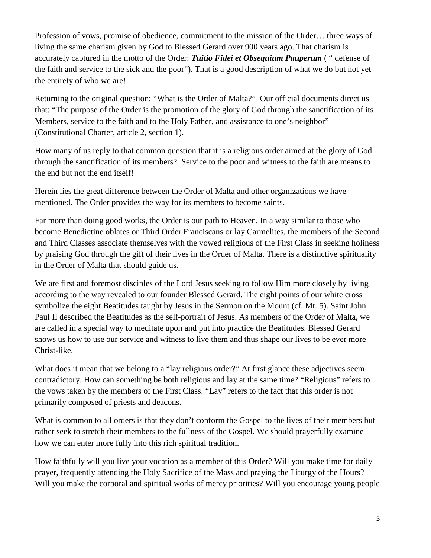Profession of vows, promise of obedience, commitment to the mission of the Order… three ways of living the same charism given by God to Blessed Gerard over 900 years ago. That charism is accurately captured in the motto of the Order: *Tuitio Fidei et Obsequium Pauperum* ( " defense of the faith and service to the sick and the poor"). That is a good description of what we do but not yet the entirety of who we are!

Returning to the original question: "What is the Order of Malta?" Our official documents direct us that: "The purpose of the Order is the promotion of the glory of God through the sanctification of its Members, service to the faith and to the Holy Father, and assistance to one's neighbor" (Constitutional Charter, article 2, section 1).

How many of us reply to that common question that it is a religious order aimed at the glory of God through the sanctification of its members? Service to the poor and witness to the faith are means to the end but not the end itself!

Herein lies the great difference between the Order of Malta and other organizations we have mentioned. The Order provides the way for its members to become saints.

Far more than doing good works, the Order is our path to Heaven. In a way similar to those who become Benedictine oblates or Third Order Franciscans or lay Carmelites, the members of the Second and Third Classes associate themselves with the vowed religious of the First Class in seeking holiness by praising God through the gift of their lives in the Order of Malta. There is a distinctive spirituality in the Order of Malta that should guide us.

We are first and foremost disciples of the Lord Jesus seeking to follow Him more closely by living according to the way revealed to our founder Blessed Gerard. The eight points of our white cross symbolize the eight Beatitudes taught by Jesus in the Sermon on the Mount (cf. Mt. 5). Saint John Paul II described the Beatitudes as the self-portrait of Jesus. As members of the Order of Malta, we are called in a special way to meditate upon and put into practice the Beatitudes. Blessed Gerard shows us how to use our service and witness to live them and thus shape our lives to be ever more Christ-like.

What does it mean that we belong to a "lay religious order?" At first glance these adjectives seem contradictory. How can something be both religious and lay at the same time? "Religious" refers to the vows taken by the members of the First Class. "Lay" refers to the fact that this order is not primarily composed of priests and deacons.

What is common to all orders is that they don't conform the Gospel to the lives of their members but rather seek to stretch their members to the fullness of the Gospel. We should prayerfully examine how we can enter more fully into this rich spiritual tradition.

How faithfully will you live your vocation as a member of this Order? Will you make time for daily prayer, frequently attending the Holy Sacrifice of the Mass and praying the Liturgy of the Hours? Will you make the corporal and spiritual works of mercy priorities? Will you encourage young people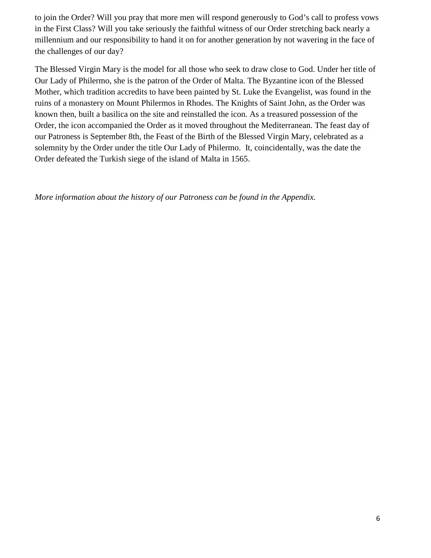to join the Order? Will you pray that more men will respond generously to God's call to profess vows in the First Class? Will you take seriously the faithful witness of our Order stretching back nearly a millennium and our responsibility to hand it on for another generation by not wavering in the face of the challenges of our day?

The Blessed Virgin Mary is the model for all those who seek to draw close to God. Under her title of Our Lady of Philermo, she is the patron of the Order of Malta. The Byzantine icon of the Blessed Mother, which tradition accredits to have been painted by St. Luke the Evangelist, was found in the ruins of a monastery on Mount Philermos in Rhodes. The Knights of Saint John, as the Order was known then, built a basilica on the site and reinstalled the icon. As a treasured possession of the Order, the icon accompanied the Order as it moved throughout the Mediterranean. The feast day of our Patroness is September 8th, the Feast of the Birth of the Blessed Virgin Mary, celebrated as a solemnity by the Order under the title Our Lady of Philermo. It, coincidentally, was the date the Order defeated the Turkish siege of the island of Malta in 1565.

*More information about the history of our Patroness can be found in the Appendix.*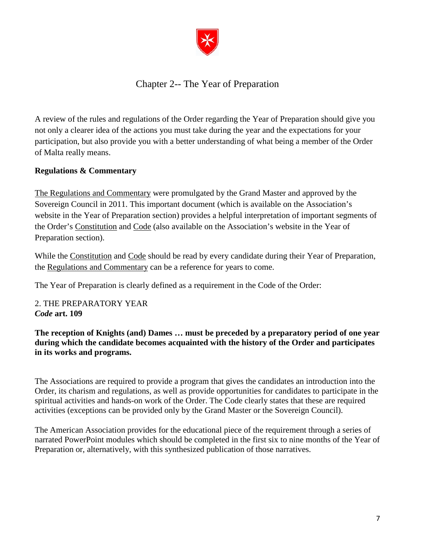

## Chapter 2-- The Year of Preparation

<span id="page-8-0"></span>A review of the rules and regulations of the Order regarding the Year of Preparation should give you not only a clearer idea of the actions you must take during the year and the expectations for your participation, but also provide you with a better understanding of what being a member of the Order of Malta really means.

## **Regulations & Commentary**

The Regulations and Commentary were promulgated by the Grand Master and approved by the Sovereign Council in 2011. This important document (which is available on the Association's website in the Year of Preparation section) provides a helpful interpretation of important segments of the Order's Constitution and Code (also available on the Association's website in the Year of Preparation section).

While the Constitution and Code should be read by every candidate during their Year of Preparation, the Regulations and Commentary can be a reference for years to come.

The Year of Preparation is clearly defined as a requirement in the Code of the Order:

2. THE PREPARATORY YEAR *Code* **art. 109**

**The reception of Knights (and) Dames … must be preceded by a preparatory period of one year during which the candidate becomes acquainted with the history of the Order and participates in its works and programs.**

The Associations are required to provide a program that gives the candidates an introduction into the Order, its charism and regulations, as well as provide opportunities for candidates to participate in the spiritual activities and hands-on work of the Order. The Code clearly states that these are required activities (exceptions can be provided only by the Grand Master or the Sovereign Council).

The American Association provides for the educational piece of the requirement through a series of narrated PowerPoint modules which should be completed in the first six to nine months of the Year of Preparation or, alternatively, with this synthesized publication of those narratives.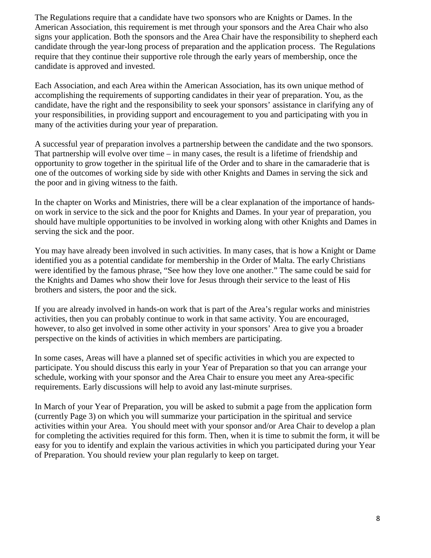The Regulations require that a candidate have two sponsors who are Knights or Dames. In the American Association, this requirement is met through your sponsors and the Area Chair who also signs your application. Both the sponsors and the Area Chair have the responsibility to shepherd each candidate through the year-long process of preparation and the application process. The Regulations require that they continue their supportive role through the early years of membership, once the candidate is approved and invested.

Each Association, and each Area within the American Association, has its own unique method of accomplishing the requirements of supporting candidates in their year of preparation. You, as the candidate, have the right and the responsibility to seek your sponsors' assistance in clarifying any of your responsibilities, in providing support and encouragement to you and participating with you in many of the activities during your year of preparation.

A successful year of preparation involves a partnership between the candidate and the two sponsors. That partnership will evolve over time  $-$  in many cases, the result is a lifetime of friendship and opportunity to grow together in the spiritual life of the Order and to share in the camaraderie that is one of the outcomes of working side by side with other Knights and Dames in serving the sick and the poor and in giving witness to the faith.

In the chapter on Works and Ministries, there will be a clear explanation of the importance of handson work in service to the sick and the poor for Knights and Dames. In your year of preparation, you should have multiple opportunities to be involved in working along with other Knights and Dames in serving the sick and the poor.

You may have already been involved in such activities. In many cases, that is how a Knight or Dame identified you as a potential candidate for membership in the Order of Malta. The early Christians were identified by the famous phrase, "See how they love one another." The same could be said for the Knights and Dames who show their love for Jesus through their service to the least of His brothers and sisters, the poor and the sick.

If you are already involved in hands-on work that is part of the Area's regular works and ministries activities, then you can probably continue to work in that same activity. You are encouraged, however, to also get involved in some other activity in your sponsors' Area to give you a broader perspective on the kinds of activities in which members are participating.

In some cases, Areas will have a planned set of specific activities in which you are expected to participate. You should discuss this early in your Year of Preparation so that you can arrange your schedule, working with your sponsor and the Area Chair to ensure you meet any Area-specific requirements. Early discussions will help to avoid any last-minute surprises.

In March of your Year of Preparation, you will be asked to submit a page from the application form (currently Page 3) on which you will summarize your participation in the spiritual and service activities within your Area. You should meet with your sponsor and/or Area Chair to develop a plan for completing the activities required for this form. Then, when it is time to submit the form, it will be easy for you to identify and explain the various activities in which you participated during your Year of Preparation. You should review your plan regularly to keep on target.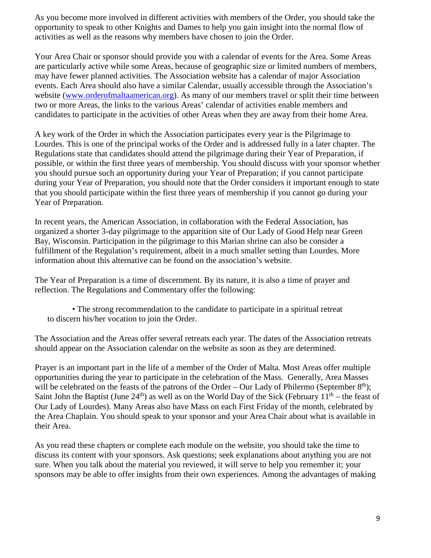As you become more involved in different activities with members of the Order, you should take the opportunity to speak to other Knights and Dames to help you gain insight into the normal flow of activities as well as the reasons why members have chosen to join the Order.

Your Area Chair or sponsor should provide you with a calendar of events for the Area. Some Areas are particularly active while some Areas, because of geographic size or limited numbers of members, may have fewer planned activities. The Association website has a calendar of major Association events. Each Area should also have a similar Calendar, usually accessible through the Association's website (www.orderofmaltaamerican.org). As many of our members travel or split their time between two or more Areas, the links to the various Areas' calendar of activities enable members and candidates to participate in the activities of other Areas when they are away from their home Area.

A key work of the Order in which the Association participates every year is the Pilgrimage to Lourdes. This is one of the principal works of the Order and is addressed fully in a later chapter. The Regulations state that candidates should attend the pilgrimage during their Year of Preparation, if possible, or within the first three years of membership. You should discuss with your sponsor whether you should pursue such an opportunity during your Year of Preparation; if you cannot participate during your Year of Preparation, you should note that the Order considers it important enough to state that you should participate within the first three years of membership if you cannot go during your Year of Preparation.

In recent years, the American Association, in collaboration with the Federal Association, has organized a shorter 3-day pilgrimage to the apparition site of Our Lady of Good Help near Green Bay, Wisconsin. Participation in the pilgrimage to this Marian shrine can also be consider a fulfillment of the Regulation's requirement, albeit in a much smaller setting than Lourdes. More information about this alternative can be found on the association's website.

The Year of Preparation is a time of discernment. By its nature, it is also a time of prayer and reflection. The Regulations and Commentary offer the following:

• The strong recommendation to the candidate to participate in a spiritual retreat to discern his/her vocation to join the Order.

The Association and the Areas offer several retreats each year. The dates of the Association retreats should appear on the Association calendar on the website as soon as they are determined.

Prayer is an important part in the life of a member of the Order of Malta. Most Areas offer multiple opportunities during the year to participate in the celebration of the Mass. Generally, Area Masses will be celebrated on the feasts of the patrons of the Order – Our Lady of Philermo (September  $8<sup>th</sup>$ ); Saint John the Baptist (June  $24<sup>th</sup>$ ) as well as on the World Day of the Sick (February  $11<sup>th</sup>$  – the feast of Our Lady of Lourdes). Many Areas also have Mass on each First Friday of the month, celebrated by the Area Chaplain. You should speak to your sponsor and your Area Chair about what is available in their Area.

As you read these chapters or complete each module on the website, you should take the time to discuss its content with your sponsors. Ask questions; seek explanations about anything you are not sure. When you talk about the material you reviewed, it will serve to help you remember it; your sponsors may be able to offer insights from their own experiences. Among the advantages of making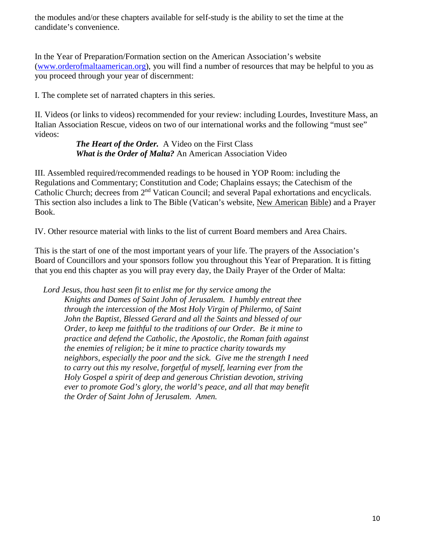the modules and/or these chapters available for self-study is the ability to set the time at the candidate's convenience.

In the Year of Preparation/Formation section on the American Association's website (www.orderofmaltaamerican.org), you will find a number of resources that may be helpful to you as you proceed through your year of discernment:

I. The complete set of narrated chapters in this series.

II. Videos (or links to videos) recommended for your review: including Lourdes, Investiture Mass, an Italian Association Rescue, videos on two of our international works and the following "must see" videos:

> *The Heart of the Order.* A Video on the First Class *What is the Order of Malta?* An American Association Video

III. Assembled required/recommended readings to be housed in YOP Room: including the Regulations and Commentary; Constitution and Code; Chaplains essays; the Catechism of the Catholic Church; decrees from 2<sup>nd</sup> Vatican Council; and several Papal exhortations and encyclicals. This section also includes a link to The Bible (Vatican's website, New American Bible) and a Prayer Book.

IV. Other resource material with links to the list of current Board members and Area Chairs.

This is the start of one of the most important years of your life. The prayers of the Association's Board of Councillors and your sponsors follow you throughout this Year of Preparation. It is fitting that you end this chapter as you will pray every day, the Daily Prayer of the Order of Malta:

*Lord Jesus, thou hast seen fit to enlist me for thy service among the Knights and Dames of Saint John of Jerusalem. I humbly entreat thee through the intercession of the Most Holy Virgin of Philermo, of Saint John the Baptist, Blessed Gerard and all the Saints and blessed of our Order, to keep me faithful to the traditions of our Order. Be it mine to practice and defend the Catholic, the Apostolic, the Roman faith against the enemies of religion; be it mine to practice charity towards my neighbors, especially the poor and the sick. Give me the strength I need to carry out this my resolve, forgetful of myself, learning ever from the Holy Gospel a spirit of deep and generous Christian devotion, striving ever to promote God's glory, the world's peace, and all that may benefit the Order of Saint John of Jerusalem. Amen.*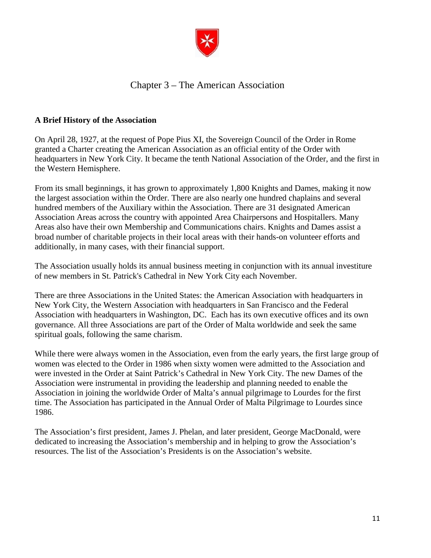

## Chapter 3 – The American Association

## <span id="page-12-0"></span>**A Brief History of the Association**

On April 28, 1927, at the request of Pope Pius XI, the Sovereign Council of the Order in Rome granted a Charter creating the American Association as an official entity of the Order with headquarters in New York City. It became the tenth National Association of the Order, and the first in the Western Hemisphere.

From its small beginnings, it has grown to approximately 1,800 Knights and Dames, making it now the largest association within the Order. There are also nearly one hundred chaplains and several hundred members of the Auxiliary within the Association. There are 31 designated American Association Areas across the country with appointed Area Chairpersons and Hospitallers. Many Areas also have their own Membership and Communications chairs. Knights and Dames assist a broad number of charitable projects in their local areas with their hands-on volunteer efforts and additionally, in many cases, with their financial support.

The Association usually holds its annual business meeting in conjunction with its annual investiture of new members in St. Patrick's Cathedral in New York City each November.

There are three Associations in the United States: the American Association with headquarters in New York City, the Western Association with headquarters in San Francisco and the Federal Association with headquarters in Washington, DC. Each has its own executive offices and its own governance. All three Associations are part of the Order of Malta worldwide and seek the same spiritual goals, following the same charism.

While there were always women in the Association, even from the early years, the first large group of women was elected to the Order in 1986 when sixty women were admitted to the Association and were invested in the Order at Saint Patrick's Cathedral in New York City. The new Dames of the Association were instrumental in providing the leadership and planning needed to enable the Association in joining the worldwide Order of Malta's annual pilgrimage to Lourdes for the first time. The Association has participated in the Annual Order of Malta Pilgrimage to Lourdes since 1986.

The Association's first president, James J. Phelan, and later president, George MacDonald, were dedicated to increasing the Association's membership and in helping to grow the Association's resources. The list of the Association's Presidents is on the Association's website.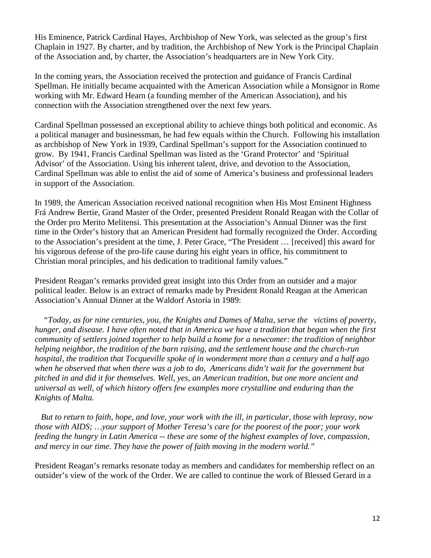His Eminence, Patrick Cardinal Hayes, Archbishop of New York, was selected as the group's first Chaplain in 1927. By charter, and by tradition, the Archbishop of New York is the Principal Chaplain of the Association and, by charter, the Association's headquarters are in New York City.

In the coming years, the Association received the protection and guidance of Francis Cardinal Spellman. He initially became acquainted with the American Association while a Monsignor in Rome working with Mr. Edward Hearn (a founding member of the American Association), and his connection with the Association strengthened over the next few years.

Cardinal Spellman possessed an exceptional ability to achieve things both political and economic. As a political manager and businessman, he had few equals within the Church. Following his installation as archbishop of New York in 1939, Cardinal Spellman's support for the Association continued to grow. By 1941, Francis Cardinal Spellman was listed as the 'Grand Protector' and 'Spiritual Advisor' of the Association. Using his inherent talent, drive, and devotion to the Association, Cardinal Spellman was able to enlist the aid of some of America's business and professional leaders in support of the Association.

In 1989, the American Association received national recognition when His Most Eminent Highness Frá Andrew Bertie, Grand Master of the Order, presented President Ronald Reagan with the Collar of the Order pro Merito Melitensi. This presentation at the Association's Annual Dinner was the first time in the Order's history that an American President had formally recognized the Order. According to the Association's president at the time, J. Peter Grace, "The President … [received] this award for his vigorous defense of the pro-life cause during his eight years in office, his commitment to Christian moral principles, and his dedication to traditional family values."

President Reagan's remarks provided great insight into this Order from an outsider and a major political leader. Below is an extract of remarks made by President Ronald Reagan at the American Association's Annual Dinner at the Waldorf Astoria in 1989:

*"Today, as for nine centuries, you, the Knights and Dames of Malta, serve the victims of poverty, hunger, and disease. I have often noted that in America we have a tradition that began when the first community of settlers joined together to help build a home for a newcomer: the tradition of neighbor helping neighbor, the tradition of the barn raising, and the settlement house and the church-run hospital, the tradition that Tocqueville spoke of in wonderment more than a century and a half ago when he observed that when there was a job to do, Americans didn't wait for the government but pitched in and did it for themselves. Well, yes, an American tradition, but one more ancient and universal as well, of which history offers few examples more crystalline and enduring than the Knights of Malta.*

*But to return to faith, hope, and love, your work with the ill, in particular, those with leprosy, now those with AIDS; …your support of Mother Teresa's care for the poorest of the poor; your work feeding the hungry in Latin America -- these are some of the highest examples of love, compassion, and mercy in our time. They have the power of faith moving in the modern world."*

President Reagan's remarks resonate today as members and candidates for membership reflect on an outsider's view of the work of the Order. We are called to continue the work of Blessed Gerard in a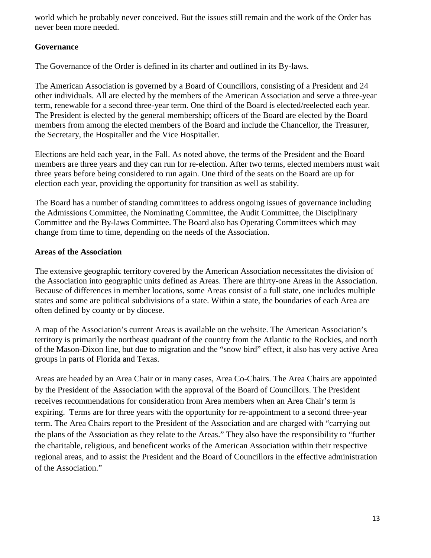world which he probably never conceived. But the issues still remain and the work of the Order has never been more needed.

## **Governance**

The Governance of the Order is defined in its charter and outlined in its By-laws.

The American Association is governed by a Board of Councillors, consisting of a President and 24 other individuals. All are elected by the members of the American Association and serve a three-year term, renewable for a second three-year term. One third of the Board is elected/reelected each year. The President is elected by the general membership; officers of the Board are elected by the Board members from among the elected members of the Board and include the Chancellor, the Treasurer, the Secretary, the Hospitaller and the Vice Hospitaller.

Elections are held each year, in the Fall. As noted above, the terms of the President and the Board members are three years and they can run for re-election. After two terms, elected members must wait three years before being considered to run again. One third of the seats on the Board are up for election each year, providing the opportunity for transition as well as stability.

The Board has a number of standing committees to address ongoing issues of governance including the Admissions Committee, the Nominating Committee, the Audit Committee, the Disciplinary Committee and the By-laws Committee. The Board also has Operating Committees which may change from time to time, depending on the needs of the Association.

## **Areas of the Association**

The extensive geographic territory covered by the American Association necessitates the division of the Association into geographic units defined as Areas. There are thirty-one Areas in the Association. Because of differences in member locations, some Areas consist of a full state, one includes multiple states and some are political subdivisions of a state. Within a state, the boundaries of each Area are often defined by county or by diocese.

A map of the Association's current Areas is available on the website. The American Association's territory is primarily the northeast quadrant of the country from the Atlantic to the Rockies, and north of the Mason-Dixon line, but due to migration and the "snow bird" effect, it also has very active Area groups in parts of Florida and Texas.

Areas are headed by an Area Chair or in many cases, Area Co-Chairs. The Area Chairs are appointed by the President of the Association with the approval of the Board of Councillors. The President receives recommendations for consideration from Area members when an Area Chair's term is expiring. Terms are for three years with the opportunity for re-appointment to a second three-year term. The Area Chairs report to the President of the Association and are charged with "carrying out the plans of the Association as they relate to the Areas." They also have the responsibility to "further the charitable, religious, and beneficent works of the American Association within their respective regional areas, and to assist the President and the Board of Councillors in the effective administration of the Association."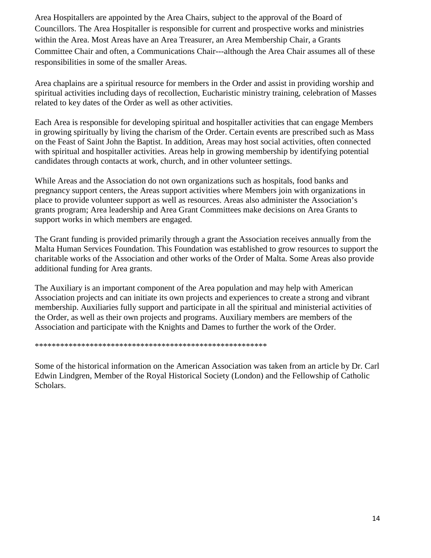Area Hospitallers are appointed by the Area Chairs, subject to the approval of the Board of Councillors. The Area Hospitaller is responsible for current and prospective works and ministries within the Area. Most Areas have an Area Treasurer, an Area Membership Chair, a Grants Committee Chair and often, a Communications Chair---although the Area Chair assumes all of these responsibilities in some of the smaller Areas.

Area chaplains are a spiritual resource for members in the Order and assist in providing worship and spiritual activities including days of recollection, Eucharistic ministry training, celebration of Masses related to key dates of the Order as well as other activities.

Each Area is responsible for developing spiritual and hospitaller activities that can engage Members in growing spiritually by living the charism of the Order. Certain events are prescribed such as Mass on the Feast of Saint John the Baptist. In addition, Areas may host social activities, often connected with spiritual and hospitaller activities. Areas help in growing membership by identifying potential candidates through contacts at work, church, and in other volunteer settings.

While Areas and the Association do not own organizations such as hospitals, food banks and pregnancy support centers, the Areas support activities where Members join with organizations in place to provide volunteer support as well as resources. Areas also administer the Association's grants program; Area leadership and Area Grant Committees make decisions on Area Grants to support works in which members are engaged.

The Grant funding is provided primarily through a grant the Association receives annually from the Malta Human Services Foundation. This Foundation was established to grow resources to support the charitable works of the Association and other works of the Order of Malta. Some Areas also provide additional funding for Area grants.

The Auxiliary is an important component of the Area population and may help with American Association projects and can initiate its own projects and experiences to create a strong and vibrant membership. Auxiliaries fully support and participate in all the spiritual and ministerial activities of the Order, as well as their own projects and programs. Auxiliary members are members of the Association and participate with the Knights and Dames to further the work of the Order.

#### \*\*\*\*\*\*\*\*\*\*\*\*\*\*\*\*\*\*\*\*\*\*\*\*\*\*\*\*\*\*\*\*\*\*\*\*\*\*\*\*\*\*\*\*\*\*\*\*\*\*\*\*\*\*\*

Some of the historical information on the American Association was taken from an article by Dr. Carl Edwin Lindgren, Member of the Royal Historical Society (London) and the Fellowship of Catholic Scholars.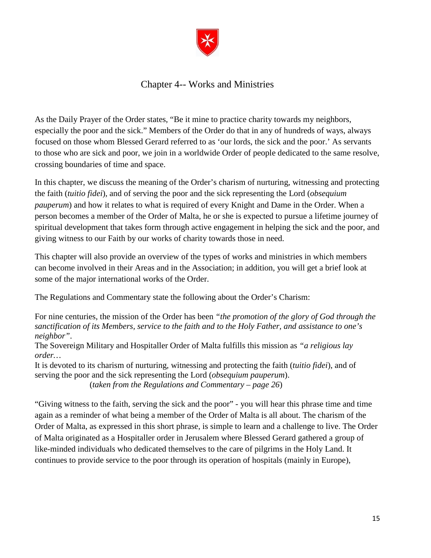

## Chapter 4-- Works and Ministries

<span id="page-16-0"></span>As the Daily Prayer of the Order states, "Be it mine to practice charity towards my neighbors, especially the poor and the sick." Members of the Order do that in any of hundreds of ways, always focused on those whom Blessed Gerard referred to as 'our lords, the sick and the poor.' As servants to those who are sick and poor, we join in a worldwide Order of people dedicated to the same resolve, crossing boundaries of time and space.

In this chapter, we discuss the meaning of the Order's charism of nurturing, witnessing and protecting the faith (*tuitio fidei*), and of serving the poor and the sick representing the Lord (*obsequium pauperum*) and how it relates to what is required of every Knight and Dame in the Order. When a person becomes a member of the Order of Malta, he or she is expected to pursue a lifetime journey of spiritual development that takes form through active engagement in helping the sick and the poor, and giving witness to our Faith by our works of charity towards those in need.

This chapter will also provide an overview of the types of works and ministries in which members can become involved in their Areas and in the Association; in addition, you will get a brief look at some of the major international works of the Order.

The Regulations and Commentary state the following about the Order's Charism:

For nine centuries, the mission of the Order has been *"the promotion of the glory of God through the sanctification of its Members, service to the faith and to the Holy Father, and assistance to one's neighbor"*.

The Sovereign Military and Hospitaller Order of Malta fulfills this mission as *"a religious lay order…*

It is devoted to its charism of nurturing, witnessing and protecting the faith (*tuitio fidei*), and of serving the poor and the sick representing the Lord (*obsequium pauperum*). (*taken from the Regulations and Commentary – page 26*)

"Giving witness to the faith, serving the sick and the poor" - you will hear this phrase time and time again as a reminder of what being a member of the Order of Malta is all about. The charism of the Order of Malta, as expressed in this short phrase, is simple to learn and a challenge to live. The Order of Malta originated as a Hospitaller order in Jerusalem where Blessed Gerard gathered a group of like-minded individuals who dedicated themselves to the care of pilgrims in the Holy Land. It continues to provide service to the poor through its operation of hospitals (mainly in Europe),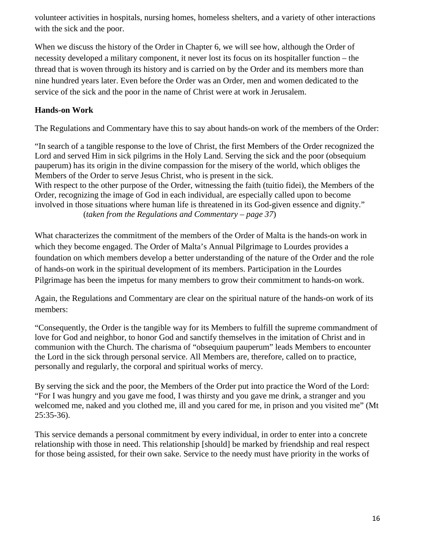volunteer activities in hospitals, nursing homes, homeless shelters, and a variety of other interactions with the sick and the poor.

When we discuss the history of the Order in Chapter 6, we will see how, although the Order of necessity developed a military component, it never lost its focus on its hospitaller function – the thread that is woven through its history and is carried on by the Order and its members more than nine hundred years later. Even before the Order was an Order, men and women dedicated to the service of the sick and the poor in the name of Christ were at work in Jerusalem.

## **Hands-on Work**

The Regulations and Commentary have this to say about hands-on work of the members of the Order:

"In search of a tangible response to the love of Christ, the first Members of the Order recognized the Lord and served Him in sick pilgrims in the Holy Land. Serving the sick and the poor (obsequium pauperum) has its origin in the divine compassion for the misery of the world, which obliges the Members of the Order to serve Jesus Christ, who is present in the sick. With respect to the other purpose of the Order, witnessing the faith (tuitio fidei), the Members of the Order, recognizing the image of God in each individual, are especially called upon to become involved in those situations where human life is threatened in its God-given essence and dignity." (*taken from the Regulations and Commentary – page 37*)

What characterizes the commitment of the members of the Order of Malta is the hands-on work in which they become engaged. The Order of Malta's Annual Pilgrimage to Lourdes provides a foundation on which members develop a better understanding of the nature of the Order and the role of hands-on work in the spiritual development of its members. Participation in the Lourdes Pilgrimage has been the impetus for many members to grow their commitment to hands-on work.

Again, the Regulations and Commentary are clear on the spiritual nature of the hands-on work of its members:

"Consequently, the Order is the tangible way for its Members to fulfill the supreme commandment of love for God and neighbor, to honor God and sanctify themselves in the imitation of Christ and in communion with the Church. The charisma of "obsequium pauperum" leads Members to encounter the Lord in the sick through personal service. All Members are, therefore, called on to practice, personally and regularly, the corporal and spiritual works of mercy.

By serving the sick and the poor, the Members of the Order put into practice the Word of the Lord: "For I was hungry and you gave me food, I was thirsty and you gave me drink, a stranger and you welcomed me, naked and you clothed me, ill and you cared for me, in prison and you visited me" (Mt 25:35-36).

This service demands a personal commitment by every individual, in order to enter into a concrete relationship with those in need. This relationship [should] be marked by friendship and real respect for those being assisted, for their own sake. Service to the needy must have priority in the works of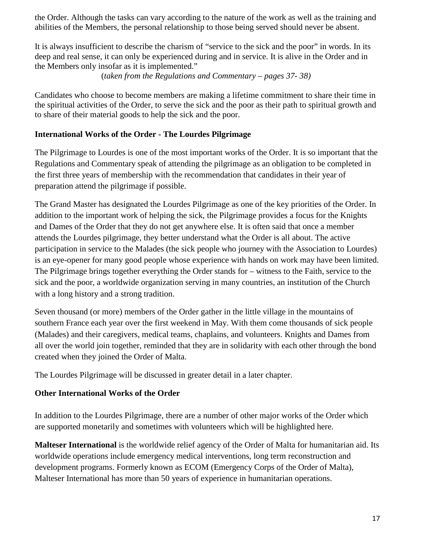the Order. Although the tasks can vary according to the nature of the work as well as the training and abilities of the Members, the personal relationship to those being served should never be absent.

It is always insufficient to describe the charism of "service to the sick and the poor" in words. In its deep and real sense, it can only be experienced during and in service. It is alive in the Order and in the Members only insofar as it is implemented."

(*taken from the Regulations and Commentary – pages 37- 38)*

Candidates who choose to become members are making a lifetime commitment to share their time in the spiritual activities of the Order, to serve the sick and the poor as their path to spiritual growth and to share of their material goods to help the sick and the poor.

#### **International Works of the Order - The Lourdes Pilgrimage**

The Pilgrimage to Lourdes is one of the most important works of the Order. It is so important that the Regulations and Commentary speak of attending the pilgrimage as an obligation to be completed in the first three years of membership with the recommendation that candidates in their year of preparation attend the pilgrimage if possible.

The Grand Master has designated the Lourdes Pilgrimage as one of the key priorities of the Order. In addition to the important work of helping the sick, the Pilgrimage provides a focus for the Knights and Dames of the Order that they do not get anywhere else. It is often said that once a member attends the Lourdes pilgrimage, they better understand what the Order is all about. The active participation in service to the Malades (the sick people who journey with the Association to Lourdes) is an eye-opener for many good people whose experience with hands on work may have been limited. The Pilgrimage brings together everything the Order stands for – witness to the Faith, service to the sick and the poor, a worldwide organization serving in many countries, an institution of the Church with a long history and a strong tradition.

Seven thousand (or more) members of the Order gather in the little village in the mountains of southern France each year over the first weekend in May. With them come thousands of sick people (Malades) and their caregivers, medical teams, chaplains, and volunteers. Knights and Dames from all over the world join together, reminded that they are in solidarity with each other through the bond created when they joined the Order of Malta.

The Lourdes Pilgrimage will be discussed in greater detail in a later chapter.

## **Other International Works of the Order**

In addition to the Lourdes Pilgrimage, there are a number of other major works of the Order which are supported monetarily and sometimes with volunteers which will be highlighted here.

**Malteser International** is the worldwide relief agency of the Order of Malta for humanitarian aid. Its worldwide operations include emergency medical interventions, long term reconstruction and development programs. Formerly known as ECOM (Emergency Corps of the Order of Malta), Malteser International has more than 50 years of experience in humanitarian operations.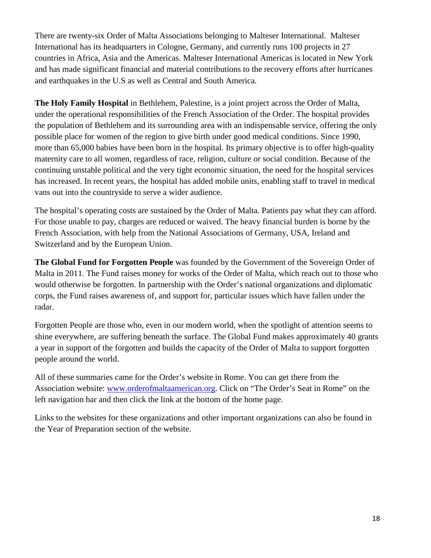There are twenty-six Order of Malta Associations belonging to Malteser International. Malteser International has its headquarters in Cologne, Germany, and currently runs 100 projects in 27 countries in Africa, Asia and the Americas. Malteser International Americas is located in New York and has made significant financial and material contributions to the recovery efforts after hurricanes and earthquakes in the U.S as well as Central and South America.

**The Holy Family Hospital** in Bethlehem, Palestine, is a joint project across the Order of Malta, under the operational responsibilities of the French Association of the Order. The hospital provides the population of Bethlehem and its surrounding area with an indispensable service, offering the only possible place for women of the region to give birth under good medical conditions. Since 1990, more than 65,000 babies have been born in the hospital. Its primary objective is to offer high-quality maternity care to all women, regardless of race, religion, culture or social condition. Because of the continuing unstable political and the very tight economic situation, the need for the hospital services has increased. In recent years, the hospital has added mobile units, enabling staff to travel in medical vans out into the countryside to serve a wider audience.

The hospital's operating costs are sustained by the Order of Malta. Patients pay what they can afford. For those unable to pay, charges are reduced or waived. The heavy financial burden is borne by the French Association, with help from the National Associations of Germany, USA, Ireland and Switzerland and by the European Union.

**The Global Fund for Forgotten People** was founded by the Government of the Sovereign Order of Malta in 2011. The Fund raises money for works of the Order of Malta, which reach out to those who would otherwise be forgotten. In partnership with the Order's national organizations and diplomatic corps, the Fund raises awareness of, and support for, particular issues which have fallen under the radar.

Forgotten People are those who, even in our modern world, when the spotlight of attention seems to shine everywhere, are suffering beneath the surface. The Global Fund makes approximately 40 grants a year in support of the forgotten and builds the capacity of the Order of Malta to support forgotten people around the world.

All of these summaries came for the Order's website in Rome. You can get there from the Association website: www.orderofmaltaamerican.org. Click on "The Order's Seat in Rome" on the left navigation bar and then click the link at the bottom of the home page.

Links to the websites for these organizations and other important organizations can also be found in the Year of Preparation section of the website.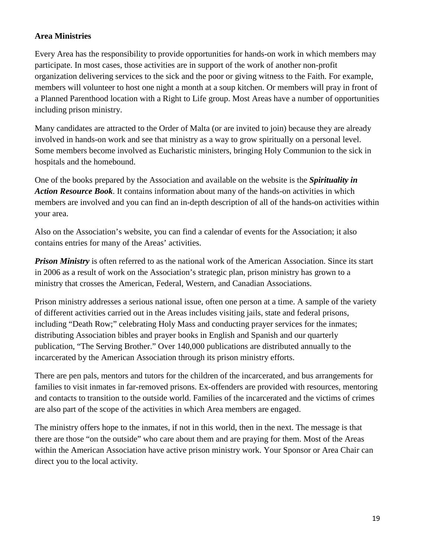## **Area Ministries**

Every Area has the responsibility to provide opportunities for hands-on work in which members may participate. In most cases, those activities are in support of the work of another non-profit organization delivering services to the sick and the poor or giving witness to the Faith. For example, members will volunteer to host one night a month at a soup kitchen. Or members will pray in front of a Planned Parenthood location with a Right to Life group. Most Areas have a number of opportunities including prison ministry.

Many candidates are attracted to the Order of Malta (or are invited to join) because they are already involved in hands-on work and see that ministry as a way to grow spiritually on a personal level. Some members become involved as Eucharistic ministers, bringing Holy Communion to the sick in hospitals and the homebound.

One of the books prepared by the Association and available on the website is the *Spirituality in Action Resource Book*. It contains information about many of the hands-on activities in which members are involved and you can find an in-depth description of all of the hands-on activities within your area.

Also on the Association's website, you can find a calendar of events for the Association; it also contains entries for many of the Areas' activities.

**Prison Ministry** is often referred to as the national work of the American Association. Since its start in 2006 as a result of work on the Association's strategic plan, prison ministry has grown to a ministry that crosses the American, Federal, Western, and Canadian Associations.

Prison ministry addresses a serious national issue, often one person at a time. A sample of the variety of different activities carried out in the Areas includes visiting jails, state and federal prisons, including "Death Row;" celebrating Holy Mass and conducting prayer services for the inmates; distributing Association bibles and prayer books in English and Spanish and our quarterly publication, "The Serving Brother." Over 140,000 publications are distributed annually to the incarcerated by the American Association through its prison ministry efforts.

There are pen pals, mentors and tutors for the children of the incarcerated, and bus arrangements for families to visit inmates in far-removed prisons. Ex-offenders are provided with resources, mentoring and contacts to transition to the outside world. Families of the incarcerated and the victims of crimes are also part of the scope of the activities in which Area members are engaged.

The ministry offers hope to the inmates, if not in this world, then in the next. The message is that there are those "on the outside" who care about them and are praying for them. Most of the Areas within the American Association have active prison ministry work. Your Sponsor or Area Chair can direct you to the local activity.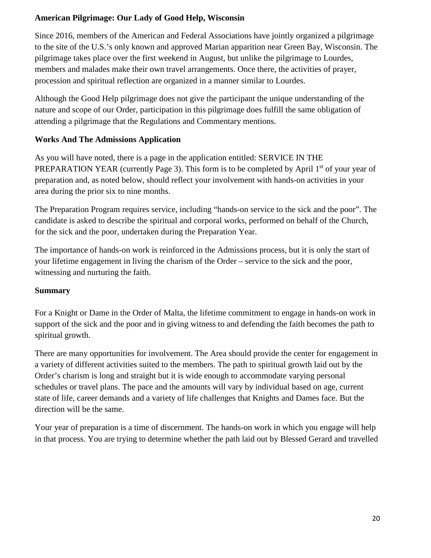## **American Pilgrimage: Our Lady of Good Help, Wisconsin**

Since 2016, members of the American and Federal Associations have jointly organized a pilgrimage to the site of the U.S.'s only known and approved Marian apparition near Green Bay, Wisconsin. The pilgrimage takes place over the first weekend in August, but unlike the pilgrimage to Lourdes, members and malades make their own travel arrangements. Once there, the activities of prayer, procession and spiritual reflection are organized in a manner similar to Lourdes.

Although the Good Help pilgrimage does not give the participant the unique understanding of the nature and scope of our Order, participation in this pilgrimage does fulfill the same obligation of attending a pilgrimage that the Regulations and Commentary mentions.

## **Works And The Admissions Application**

As you will have noted, there is a page in the application entitled: SERVICE IN THE PREPARATION YEAR (currently Page 3). This form is to be completed by April 1<sup>st</sup> of your year of preparation and, as noted below, should reflect your involvement with hands-on activities in your area during the prior six to nine months.

The Preparation Program requires service, including "hands-on service to the sick and the poor". The candidate is asked to describe the spiritual and corporal works, performed on behalf of the Church, for the sick and the poor, undertaken during the Preparation Year.

The importance of hands-on work is reinforced in the Admissions process, but it is only the start of your lifetime engagement in living the charism of the Order – service to the sick and the poor, witnessing and nurturing the faith.

## **Summary**

For a Knight or Dame in the Order of Malta, the lifetime commitment to engage in hands-on work in support of the sick and the poor and in giving witness to and defending the faith becomes the path to spiritual growth.

There are many opportunities for involvement. The Area should provide the center for engagement in a variety of different activities suited to the members. The path to spiritual growth laid out by the Order's charism is long and straight but it is wide enough to accommodate varying personal schedules or travel plans. The pace and the amounts will vary by individual based on age, current state of life, career demands and a variety of life challenges that Knights and Dames face. But the direction will be the same.

Your year of preparation is a time of discernment. The hands-on work in which you engage will help in that process. You are trying to determine whether the path laid out by Blessed Gerard and travelled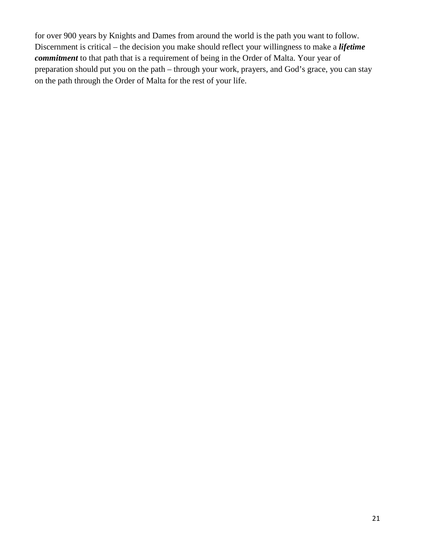for over 900 years by Knights and Dames from around the world is the path you want to follow. Discernment is critical – the decision you make should reflect your willingness to make a *lifetime commitment* to that path that is a requirement of being in the Order of Malta. Your year of preparation should put you on the path – through your work, prayers, and God's grace, you can stay on the path through the Order of Malta for the rest of your life.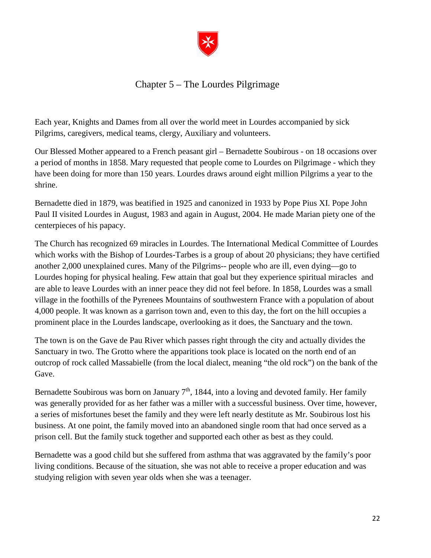

## Chapter 5 – The Lourdes Pilgrimage

<span id="page-23-0"></span>Each year, Knights and Dames from all over the world meet in Lourdes accompanied by sick Pilgrims, caregivers, medical teams, clergy, Auxiliary and volunteers.

Our Blessed Mother appeared to a French peasant girl – Bernadette Soubirous - on 18 occasions over a period of months in 1858. Mary requested that people come to Lourdes on Pilgrimage - which they have been doing for more than 150 years. Lourdes draws around eight million Pilgrims a year to the shrine.

Bernadette died in 1879, was beatified in 1925 and canonized in 1933 by Pope Pius XI. Pope John Paul II visited Lourdes in August, 1983 and again in August, 2004. He made Marian piety one of the centerpieces of his papacy.

The Church has recognized 69 miracles in Lourdes. The International Medical Committee of Lourdes which works with the Bishop of Lourdes-Tarbes is a group of about 20 physicians; they have certified another 2,000 unexplained cures. Many of the Pilgrims-- people who are ill, even dying—go to Lourdes hoping for physical healing. Few attain that goal but they experience spiritual miracles and are able to leave Lourdes with an inner peace they did not feel before. In 1858, Lourdes was a small village in the foothills of the Pyrenees Mountains of southwestern France with a population of about 4,000 people. It was known as a garrison town and, even to this day, the fort on the hill occupies a prominent place in the Lourdes landscape, overlooking as it does, the Sanctuary and the town.

The town is on the Gave de Pau River which passes right through the city and actually divides the Sanctuary in two. The Grotto where the apparitions took place is located on the north end of an outcrop of rock called Massabielle (from the local dialect, meaning "the old rock") on the bank of the Gave.

Bernadette Soubirous was born on January  $7<sup>th</sup>$ , 1844, into a loving and devoted family. Her family was generally provided for as her father was a miller with a successful business. Over time, however, a series of misfortunes beset the family and they were left nearly destitute as Mr. Soubirous lost his business. At one point, the family moved into an abandoned single room that had once served as a prison cell. But the family stuck together and supported each other as best as they could.

Bernadette was a good child but she suffered from asthma that was aggravated by the family's poor living conditions. Because of the situation, she was not able to receive a proper education and was studying religion with seven year olds when she was a teenager.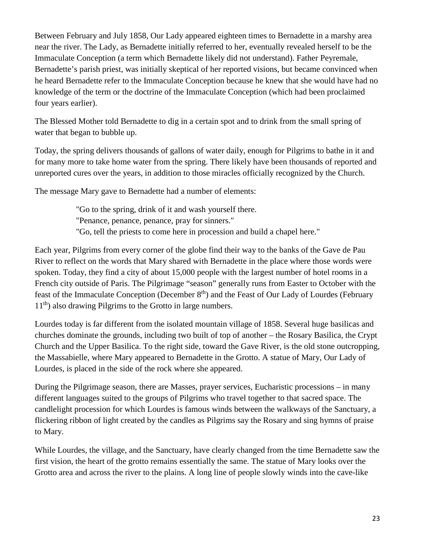Between February and July 1858, Our Lady appeared eighteen times to Bernadette in a marshy area near the river. The Lady, as Bernadette initially referred to her, eventually revealed herself to be the Immaculate Conception (a term which Bernadette likely did not understand). Father Peyremale, Bernadette's parish priest, was initially skeptical of her reported visions, but became convinced when he heard Bernadette refer to the Immaculate Conception because he knew that she would have had no knowledge of the term or the doctrine of the Immaculate Conception (which had been proclaimed four years earlier).

The Blessed Mother told Bernadette to dig in a certain spot and to drink from the small spring of water that began to bubble up.

Today, the spring delivers thousands of gallons of water daily, enough for Pilgrims to bathe in it and for many more to take home water from the spring. There likely have been thousands of reported and unreported cures over the years, in addition to those miracles officially recognized by the Church.

The message Mary gave to Bernadette had a number of elements:

"Go to the spring, drink of it and wash yourself there. "Penance, penance, penance, pray for sinners." "Go, tell the priests to come here in procession and build a chapel here."

Each year, Pilgrims from every corner of the globe find their way to the banks of the Gave de Pau River to reflect on the words that Mary shared with Bernadette in the place where those words were spoken. Today, they find a city of about 15,000 people with the largest number of hotel rooms in a French city outside of Paris. The Pilgrimage "season" generally runs from Easter to October with the feast of the Immaculate Conception (December 8<sup>th</sup>) and the Feast of Our Lady of Lourdes (February 11th) also drawing Pilgrims to the Grotto in large numbers.

Lourdes today is far different from the isolated mountain village of 1858. Several huge basilicas and churches dominate the grounds, including two built of top of another – the Rosary Basilica, the Crypt Church and the Upper Basilica. To the right side, toward the Gave River, is the old stone outcropping, the Massabielle, where Mary appeared to Bernadette in the Grotto. A statue of Mary, Our Lady of Lourdes, is placed in the side of the rock where she appeared.

During the Pilgrimage season, there are Masses, prayer services, Eucharistic processions – in many different languages suited to the groups of Pilgrims who travel together to that sacred space. The candlelight procession for which Lourdes is famous winds between the walkways of the Sanctuary, a flickering ribbon of light created by the candles as Pilgrims say the Rosary and sing hymns of praise to Mary.

While Lourdes, the village, and the Sanctuary, have clearly changed from the time Bernadette saw the first vision, the heart of the grotto remains essentially the same. The statue of Mary looks over the Grotto area and across the river to the plains. A long line of people slowly winds into the cave-like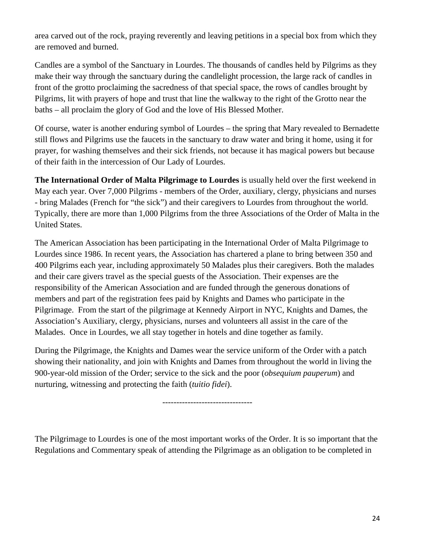area carved out of the rock, praying reverently and leaving petitions in a special box from which they are removed and burned.

Candles are a symbol of the Sanctuary in Lourdes. The thousands of candles held by Pilgrims as they make their way through the sanctuary during the candlelight procession, the large rack of candles in front of the grotto proclaiming the sacredness of that special space, the rows of candles brought by Pilgrims, lit with prayers of hope and trust that line the walkway to the right of the Grotto near the baths – all proclaim the glory of God and the love of His Blessed Mother.

Of course, water is another enduring symbol of Lourdes – the spring that Mary revealed to Bernadette still flows and Pilgrims use the faucets in the sanctuary to draw water and bring it home, using it for prayer, for washing themselves and their sick friends, not because it has magical powers but because of their faith in the intercession of Our Lady of Lourdes.

**The International Order of Malta Pilgrimage to Lourdes** is usually held over the first weekend in May each year. Over 7,000 Pilgrims - members of the Order, auxiliary, clergy, physicians and nurses - bring Malades (French for "the sick") and their caregivers to Lourdes from throughout the world. Typically, there are more than 1,000 Pilgrims from the three Associations of the Order of Malta in the United States.

The American Association has been participating in the International Order of Malta Pilgrimage to Lourdes since 1986. In recent years, the Association has chartered a plane to bring between 350 and 400 Pilgrims each year, including approximately 50 Malades plus their caregivers. Both the malades and their care givers travel as the special guests of the Association. Their expenses are the responsibility of the American Association and are funded through the generous donations of members and part of the registration fees paid by Knights and Dames who participate in the Pilgrimage. From the start of the pilgrimage at Kennedy Airport in NYC, Knights and Dames, the Association's Auxiliary, clergy, physicians, nurses and volunteers all assist in the care of the Malades. Once in Lourdes, we all stay together in hotels and dine together as family.

During the Pilgrimage, the Knights and Dames wear the service uniform of the Order with a patch showing their nationality, and join with Knights and Dames from throughout the world in living the 900-year-old mission of the Order; service to the sick and the poor (*obsequium pauperum*) and nurturing, witnessing and protecting the faith (*tuitio fidei*).

--------------------------------

The Pilgrimage to Lourdes is one of the most important works of the Order. It is so important that the Regulations and Commentary speak of attending the Pilgrimage as an obligation to be completed in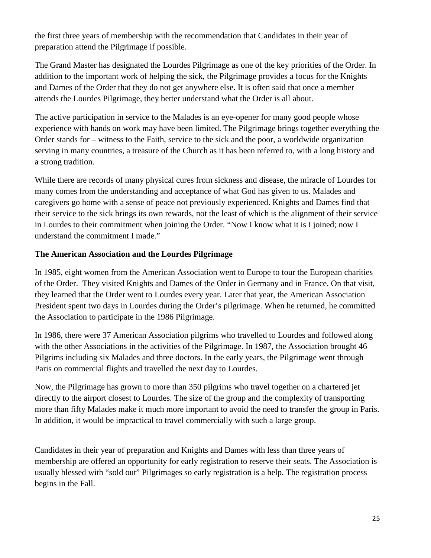the first three years of membership with the recommendation that Candidates in their year of preparation attend the Pilgrimage if possible.

The Grand Master has designated the Lourdes Pilgrimage as one of the key priorities of the Order. In addition to the important work of helping the sick, the Pilgrimage provides a focus for the Knights and Dames of the Order that they do not get anywhere else. It is often said that once a member attends the Lourdes Pilgrimage, they better understand what the Order is all about.

The active participation in service to the Malades is an eye-opener for many good people whose experience with hands on work may have been limited. The Pilgrimage brings together everything the Order stands for – witness to the Faith, service to the sick and the poor, a worldwide organization serving in many countries, a treasure of the Church as it has been referred to, with a long history and a strong tradition.

While there are records of many physical cures from sickness and disease, the miracle of Lourdes for many comes from the understanding and acceptance of what God has given to us. Malades and caregivers go home with a sense of peace not previously experienced. Knights and Dames find that their service to the sick brings its own rewards, not the least of which is the alignment of their service in Lourdes to their commitment when joining the Order. "Now I know what it is I joined; now I understand the commitment I made."

## **The American Association and the Lourdes Pilgrimage**

In 1985, eight women from the American Association went to Europe to tour the European charities of the Order. They visited Knights and Dames of the Order in Germany and in France. On that visit, they learned that the Order went to Lourdes every year. Later that year, the American Association President spent two days in Lourdes during the Order's pilgrimage. When he returned, he committed the Association to participate in the 1986 Pilgrimage.

In 1986, there were 37 American Association pilgrims who travelled to Lourdes and followed along with the other Associations in the activities of the Pilgrimage. In 1987, the Association brought 46 Pilgrims including six Malades and three doctors. In the early years, the Pilgrimage went through Paris on commercial flights and travelled the next day to Lourdes.

Now, the Pilgrimage has grown to more than 350 pilgrims who travel together on a chartered jet directly to the airport closest to Lourdes. The size of the group and the complexity of transporting more than fifty Malades make it much more important to avoid the need to transfer the group in Paris. In addition, it would be impractical to travel commercially with such a large group.

Candidates in their year of preparation and Knights and Dames with less than three years of membership are offered an opportunity for early registration to reserve their seats. The Association is usually blessed with "sold out" Pilgrimages so early registration is a help. The registration process begins in the Fall.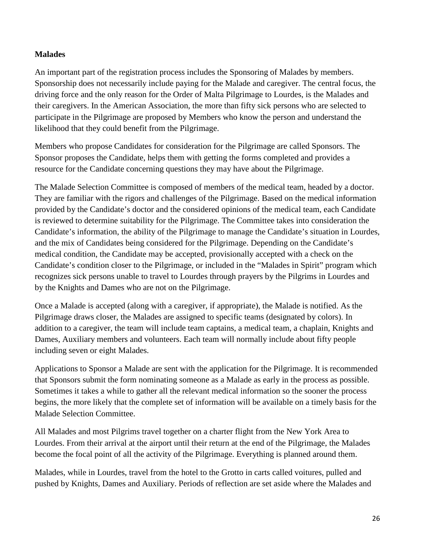## **Malades**

An important part of the registration process includes the Sponsoring of Malades by members. Sponsorship does not necessarily include paying for the Malade and caregiver. The central focus, the driving force and the only reason for the Order of Malta Pilgrimage to Lourdes, is the Malades and their caregivers. In the American Association, the more than fifty sick persons who are selected to participate in the Pilgrimage are proposed by Members who know the person and understand the likelihood that they could benefit from the Pilgrimage.

Members who propose Candidates for consideration for the Pilgrimage are called Sponsors. The Sponsor proposes the Candidate, helps them with getting the forms completed and provides a resource for the Candidate concerning questions they may have about the Pilgrimage.

The Malade Selection Committee is composed of members of the medical team, headed by a doctor. They are familiar with the rigors and challenges of the Pilgrimage. Based on the medical information provided by the Candidate's doctor and the considered opinions of the medical team, each Candidate is reviewed to determine suitability for the Pilgrimage. The Committee takes into consideration the Candidate's information, the ability of the Pilgrimage to manage the Candidate's situation in Lourdes, and the mix of Candidates being considered for the Pilgrimage. Depending on the Candidate's medical condition, the Candidate may be accepted, provisionally accepted with a check on the Candidate's condition closer to the Pilgrimage, or included in the "Malades in Spirit" program which recognizes sick persons unable to travel to Lourdes through prayers by the Pilgrims in Lourdes and by the Knights and Dames who are not on the Pilgrimage.

Once a Malade is accepted (along with a caregiver, if appropriate), the Malade is notified. As the Pilgrimage draws closer, the Malades are assigned to specific teams (designated by colors). In addition to a caregiver, the team will include team captains, a medical team, a chaplain, Knights and Dames, Auxiliary members and volunteers. Each team will normally include about fifty people including seven or eight Malades.

Applications to Sponsor a Malade are sent with the application for the Pilgrimage. It is recommended that Sponsors submit the form nominating someone as a Malade as early in the process as possible. Sometimes it takes a while to gather all the relevant medical information so the sooner the process begins, the more likely that the complete set of information will be available on a timely basis for the Malade Selection Committee.

All Malades and most Pilgrims travel together on a charter flight from the New York Area to Lourdes. From their arrival at the airport until their return at the end of the Pilgrimage, the Malades become the focal point of all the activity of the Pilgrimage. Everything is planned around them.

Malades, while in Lourdes, travel from the hotel to the Grotto in carts called voitures, pulled and pushed by Knights, Dames and Auxiliary. Periods of reflection are set aside where the Malades and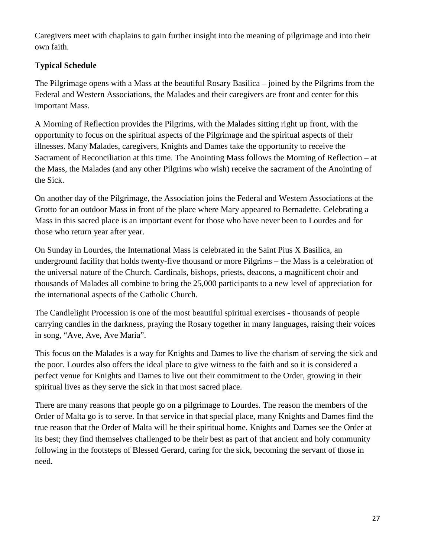Caregivers meet with chaplains to gain further insight into the meaning of pilgrimage and into their own faith.

## **Typical Schedule**

The Pilgrimage opens with a Mass at the beautiful Rosary Basilica – joined by the Pilgrims from the Federal and Western Associations, the Malades and their caregivers are front and center for this important Mass.

A Morning of Reflection provides the Pilgrims, with the Malades sitting right up front, with the opportunity to focus on the spiritual aspects of the Pilgrimage and the spiritual aspects of their illnesses. Many Malades, caregivers, Knights and Dames take the opportunity to receive the Sacrament of Reconciliation at this time. The Anointing Mass follows the Morning of Reflection – at the Mass, the Malades (and any other Pilgrims who wish) receive the sacrament of the Anointing of the Sick.

On another day of the Pilgrimage, the Association joins the Federal and Western Associations at the Grotto for an outdoor Mass in front of the place where Mary appeared to Bernadette. Celebrating a Mass in this sacred place is an important event for those who have never been to Lourdes and for those who return year after year.

On Sunday in Lourdes, the International Mass is celebrated in the Saint Pius X Basilica, an underground facility that holds twenty-five thousand or more Pilgrims – the Mass is a celebration of the universal nature of the Church. Cardinals, bishops, priests, deacons, a magnificent choir and thousands of Malades all combine to bring the 25,000 participants to a new level of appreciation for the international aspects of the Catholic Church.

The Candlelight Procession is one of the most beautiful spiritual exercises - thousands of people carrying candles in the darkness, praying the Rosary together in many languages, raising their voices in song, "Ave, Ave, Ave Maria".

This focus on the Malades is a way for Knights and Dames to live the charism of serving the sick and the poor. Lourdes also offers the ideal place to give witness to the faith and so it is considered a perfect venue for Knights and Dames to live out their commitment to the Order, growing in their spiritual lives as they serve the sick in that most sacred place.

There are many reasons that people go on a pilgrimage to Lourdes. The reason the members of the Order of Malta go is to serve. In that service in that special place, many Knights and Dames find the true reason that the Order of Malta will be their spiritual home. Knights and Dames see the Order at its best; they find themselves challenged to be their best as part of that ancient and holy community following in the footsteps of Blessed Gerard, caring for the sick, becoming the servant of those in need.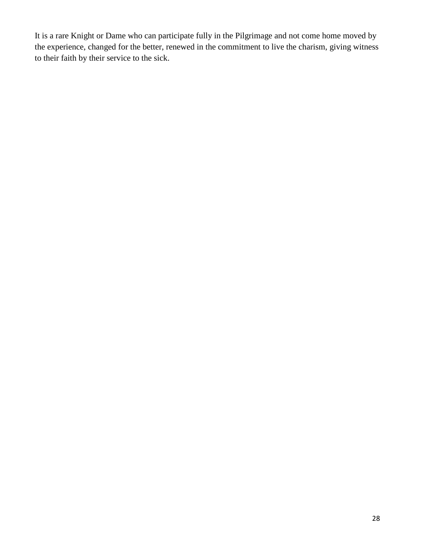It is a rare Knight or Dame who can participate fully in the Pilgrimage and not come home moved by the experience, changed for the better, renewed in the commitment to live the charism, giving witness to their faith by their service to the sick.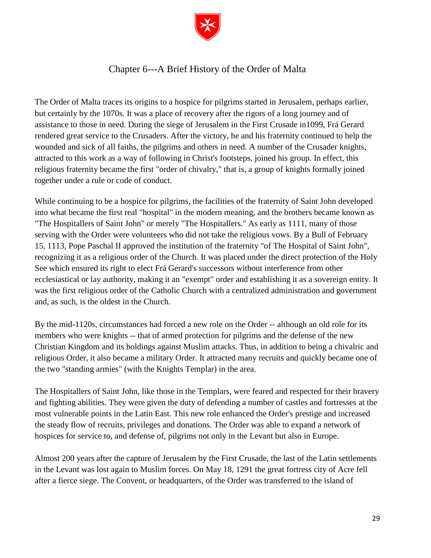

## Chapter 6---A Brief History of the Order of Malta

<span id="page-30-0"></span>The Order of Malta traces its origins to a hospice for pilgrims started in Jerusalem, perhaps earlier, but certainly by the 1070s. It was a place of recovery after the rigors of a long journey and of assistance to those in need. During the siege of Jerusalem in the First Crusade in1099, Frá Gerard rendered great service to the Crusaders. After the victory, he and his fraternity continued to help the wounded and sick of all faiths, the pilgrims and others in need. A number of the Crusader knights, attracted to this work as a way of following in Christ's footsteps, joined his group. In effect, this religious fraternity became the first "order of chivalry," that is, a group of knights formally joined together under a rule or code of conduct.

While continuing to be a hospice for pilgrims, the facilities of the fraternity of Saint John developed into what became the first real "hospital" in the modern meaning, and the brothers became known as "The Hospitallers of Saint John" or merely "The Hospitallers." As early as 1111, many of those serving with the Order were volunteers who did not take the religious vows. By a Bull of February 15, 1113, Pope Paschal II approved the institution of the fraternity "of The Hospital of Saint John", recognizing it as a religious order of the Church. It was placed under the direct protection of the Holy See which ensured its right to elect Frá Gerard's successors without interference from other ecclesiastical or lay authority, making it an "exempt" order and establishing it as a sovereign entity. It was the first religious order of the Catholic Church with a centralized administration and government and, as such, is the oldest in the Church.

By the mid-1120s, circumstances had forced a new role on the Order -- although an old role for its members who were knights -- that of armed protection for pilgrims and the defense of the new Christian Kingdom and its holdings against Muslim attacks. Thus, in addition to being a chivalric and religious Order, it also became a military Order. It attracted many recruits and quickly became one of the two "standing armies" (with the Knights Templar) in the area.

The Hospitallers of Saint John, like those in the Templars, were feared and respected for their bravery and fighting abilities. They were given the duty of defending a number of castles and fortresses at the most vulnerable points in the Latin East. This new role enhanced the Order's prestige and increased the steady flow of recruits, privileges and donations. The Order was able to expand a network of hospices for service to, and defense of, pilgrims not only in the Levant but also in Europe.

Almost 200 years after the capture of Jerusalem by the First Crusade, the last of the Latin settlements in the Levant was lost again to Muslim forces. On May 18, 1291 the great fortress city of Acre fell after a fierce siege. The Convent, or headquarters, of the Order was transferred to the island of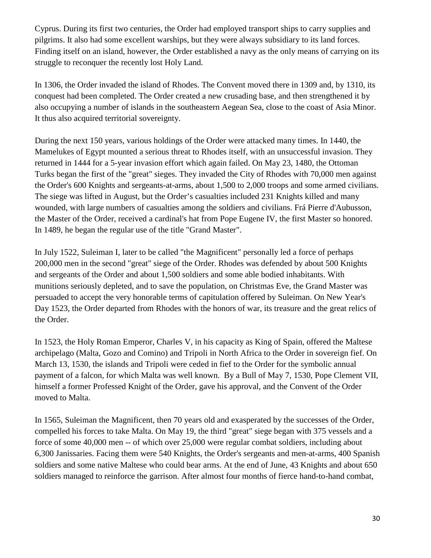Cyprus. During its first two centuries, the Order had employed transport ships to carry supplies and pilgrims. It also had some excellent warships, but they were always subsidiary to its land forces. Finding itself on an island, however, the Order established a navy as the only means of carrying on its struggle to reconquer the recently lost Holy Land.

In 1306, the Order invaded the island of Rhodes. The Convent moved there in 1309 and, by 1310, its conquest had been completed. The Order created a new crusading base, and then strengthened it by also occupying a number of islands in the southeastern Aegean Sea, close to the coast of Asia Minor. It thus also acquired territorial sovereignty.

During the next 150 years, various holdings of the Order were attacked many times. In 1440, the Mamelukes of Egypt mounted a serious threat to Rhodes itself, with an unsuccessful invasion. They returned in 1444 for a 5-year invasion effort which again failed. On May 23, 1480, the Ottoman Turks began the first of the "great" sieges. They invaded the City of Rhodes with 70,000 men against the Order's 600 Knights and sergeants-at-arms, about 1,500 to 2,000 troops and some armed civilians. The siege was lifted in August, but the Order's casualties included 231 Knights killed and many wounded, with large numbers of casualties among the soldiers and civilians. Frá Pierre d'Aubusson, the Master of the Order, received a cardinal's hat from Pope Eugene IV, the first Master so honored. In 1489, he began the regular use of the title "Grand Master".

In July 1522, Suleiman I, later to be called "the Magnificent" personally led a force of perhaps 200,000 men in the second "great" siege of the Order. Rhodes was defended by about 500 Knights and sergeants of the Order and about 1,500 soldiers and some able bodied inhabitants. With munitions seriously depleted, and to save the population, on Christmas Eve, the Grand Master was persuaded to accept the very honorable terms of capitulation offered by Suleiman. On New Year's Day 1523, the Order departed from Rhodes with the honors of war, its treasure and the great relics of the Order.

In 1523, the Holy Roman Emperor, Charles V, in his capacity as King of Spain, offered the Maltese archipelago (Malta, Gozo and Comino) and Tripoli in North Africa to the Order in sovereign fief. On March 13, 1530, the islands and Tripoli were ceded in fief to the Order for the symbolic annual payment of a falcon, for which Malta was well known. By a Bull of May 7, 1530, Pope Clement VII, himself a former Professed Knight of the Order, gave his approval, and the Convent of the Order moved to Malta.

In 1565, Suleiman the Magnificent, then 70 years old and exasperated by the successes of the Order, compelled his forces to take Malta. On May 19, the third "great" siege began with 375 vessels and a force of some 40,000 men -- of which over 25,000 were regular combat soldiers, including about 6,300 Janissaries. Facing them were 540 Knights, the Order's sergeants and men-at-arms, 400 Spanish soldiers and some native Maltese who could bear arms. At the end of June, 43 Knights and about 650 soldiers managed to reinforce the garrison. After almost four months of fierce hand-to-hand combat,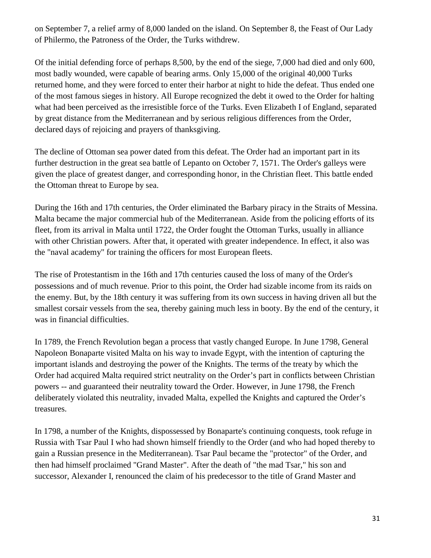on September 7, a relief army of 8,000 landed on the island. On September 8, the Feast of Our Lady of Philermo, the Patroness of the Order, the Turks withdrew.

Of the initial defending force of perhaps 8,500, by the end of the siege, 7,000 had died and only 600, most badly wounded, were capable of bearing arms. Only 15,000 of the original 40,000 Turks returned home, and they were forced to enter their harbor at night to hide the defeat. Thus ended one of the most famous sieges in history. All Europe recognized the debt it owed to the Order for halting what had been perceived as the irresistible force of the Turks. Even Elizabeth I of England, separated by great distance from the Mediterranean and by serious religious differences from the Order, declared days of rejoicing and prayers of thanksgiving.

The decline of Ottoman sea power dated from this defeat. The Order had an important part in its further destruction in the great sea battle of Lepanto on October 7, 1571. The Order's galleys were given the place of greatest danger, and corresponding honor, in the Christian fleet. This battle ended the Ottoman threat to Europe by sea.

During the 16th and 17th centuries, the Order eliminated the Barbary piracy in the Straits of Messina. Malta became the major commercial hub of the Mediterranean. Aside from the policing efforts of its fleet, from its arrival in Malta until 1722, the Order fought the Ottoman Turks, usually in alliance with other Christian powers. After that, it operated with greater independence. In effect, it also was the "naval academy" for training the officers for most European fleets.

The rise of Protestantism in the 16th and 17th centuries caused the loss of many of the Order's possessions and of much revenue. Prior to this point, the Order had sizable income from its raids on the enemy. But, by the 18th century it was suffering from its own success in having driven all but the smallest corsair vessels from the sea, thereby gaining much less in booty. By the end of the century, it was in financial difficulties.

In 1789, the French Revolution began a process that vastly changed Europe. In June 1798, General Napoleon Bonaparte visited Malta on his way to invade Egypt, with the intention of capturing the important islands and destroying the power of the Knights. The terms of the treaty by which the Order had acquired Malta required strict neutrality on the Order's part in conflicts between Christian powers -- and guaranteed their neutrality toward the Order. However, in June 1798, the French deliberately violated this neutrality, invaded Malta, expelled the Knights and captured the Order's treasures.

In 1798, a number of the Knights, dispossessed by Bonaparte's continuing conquests, took refuge in Russia with Tsar Paul I who had shown himself friendly to the Order (and who had hoped thereby to gain a Russian presence in the Mediterranean). Tsar Paul became the "protector" of the Order, and then had himself proclaimed "Grand Master". After the death of "the mad Tsar," his son and successor, Alexander I, renounced the claim of his predecessor to the title of Grand Master and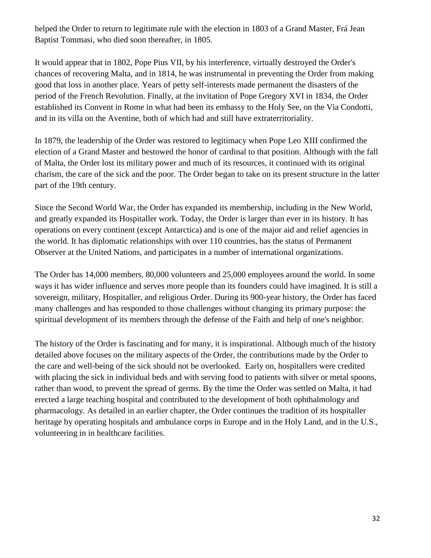helped the Order to return to legitimate rule with the election in 1803 of a Grand Master, Frá Jean Baptist Tommasi, who died soon thereafter, in 1805.

It would appear that in 1802, Pope Pius VII, by his interference, virtually destroyed the Order's chances of recovering Malta, and in 1814, he was instrumental in preventing the Order from making good that loss in another place. Years of petty self-interests made permanent the disasters of the period of the French Revolution. Finally, at the invitation of Pope Gregory XVI in 1834, the Order established its Convent in Rome in what had been its embassy to the Holy See, on the Via Condotti, and in its villa on the Aventine, both of which had and still have extraterritoriality.

In 1879, the leadership of the Order was restored to legitimacy when Pope Leo XIII confirmed the election of a Grand Master and bestowed the honor of cardinal to that position. Although with the fall of Malta, the Order lost its military power and much of its resources, it continued with its original charism, the care of the sick and the poor. The Order began to take on its present structure in the latter part of the 19th century.

Since the Second World War, the Order has expanded its membership, including in the New World, and greatly expanded its Hospitaller work. Today, the Order is larger than ever in its history. It has operations on every continent (except Antarctica) and is one of the major aid and relief agencies in the world. It has diplomatic relationships with over 110 countries, has the status of Permanent Observer at the United Nations, and participates in a number of international organizations.

The Order has 14,000 members, 80,000 volunteers and 25,000 employees around the world. In some ways it has wider influence and serves more people than its founders could have imagined. It is still a sovereign, military, Hospitaller, and religious Order. During its 900-year history, the Order has faced many challenges and has responded to those challenges without changing its primary purpose: the spiritual development of its members through the defense of the Faith and help of one's neighbor.

The history of the Order is fascinating and for many, it is inspirational. Although much of the history detailed above focuses on the military aspects of the Order, the contributions made by the Order to the care and well-being of the sick should not be overlooked. Early on, hospitallers were credited with placing the sick in individual beds and with serving food to patients with silver or metal spoons, rather than wood, to prevent the spread of germs. By the time the Order was settled on Malta, it had erected a large teaching hospital and contributed to the development of both ophthalmology and pharmacology. As detailed in an earlier chapter, the Order continues the tradition of its hospitaller heritage by operating hospitals and ambulance corps in Europe and in the Holy Land, and in the U.S., volunteering in in healthcare facilities.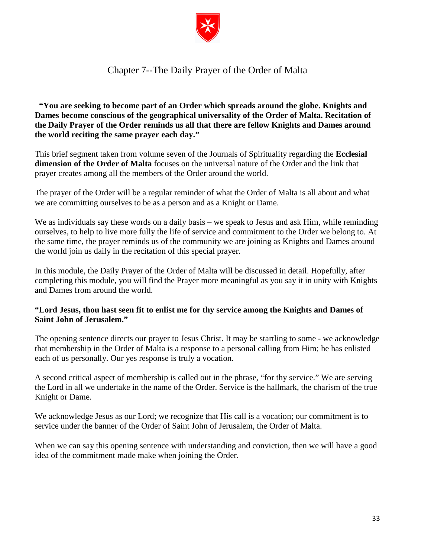

## Chapter 7--The Daily Prayer of the Order of Malta

<span id="page-34-0"></span>**"You are seeking to become part of an Order which spreads around the globe. Knights and Dames become conscious of the geographical universality of the Order of Malta. Recitation of the Daily Prayer of the Order reminds us all that there are fellow Knights and Dames around the world reciting the same prayer each day."**

This brief segment taken from volume seven of the Journals of Spirituality regarding the **Ecclesial dimension of the Order of Malta** focuses on the universal nature of the Order and the link that prayer creates among all the members of the Order around the world.

The prayer of the Order will be a regular reminder of what the Order of Malta is all about and what we are committing ourselves to be as a person and as a Knight or Dame.

We as individuals say these words on a daily basis – we speak to Jesus and ask Him, while reminding ourselves, to help to live more fully the life of service and commitment to the Order we belong to. At the same time, the prayer reminds us of the community we are joining as Knights and Dames around the world join us daily in the recitation of this special prayer.

In this module, the Daily Prayer of the Order of Malta will be discussed in detail. Hopefully, after completing this module, you will find the Prayer more meaningful as you say it in unity with Knights and Dames from around the world.

## **"Lord Jesus, thou hast seen fit to enlist me for thy service among the Knights and Dames of Saint John of Jerusalem."**

The opening sentence directs our prayer to Jesus Christ. It may be startling to some - we acknowledge that membership in the Order of Malta is a response to a personal calling from Him; he has enlisted each of us personally. Our yes response is truly a vocation.

A second critical aspect of membership is called out in the phrase, "for thy service." We are serving the Lord in all we undertake in the name of the Order. Service is the hallmark, the charism of the true Knight or Dame.

We acknowledge Jesus as our Lord; we recognize that His call is a vocation; our commitment is to service under the banner of the Order of Saint John of Jerusalem, the Order of Malta.

When we can say this opening sentence with understanding and conviction, then we will have a good idea of the commitment made make when joining the Order.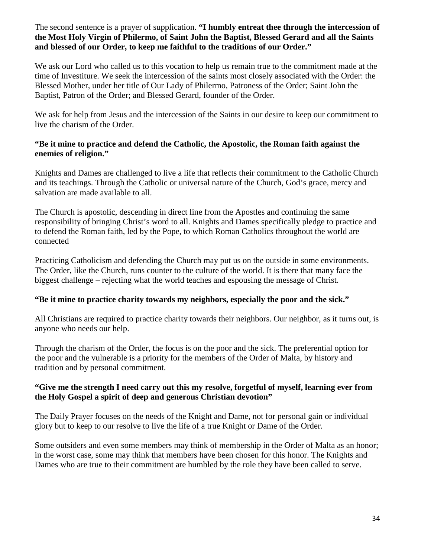The second sentence is a prayer of supplication. **"I humbly entreat thee through the intercession of the Most Holy Virgin of Philermo, of Saint John the Baptist, Blessed Gerard and all the Saints and blessed of our Order, to keep me faithful to the traditions of our Order."**

We ask our Lord who called us to this vocation to help us remain true to the commitment made at the time of Investiture. We seek the intercession of the saints most closely associated with the Order: the Blessed Mother, under her title of Our Lady of Philermo, Patroness of the Order; Saint John the Baptist, Patron of the Order; and Blessed Gerard, founder of the Order.

We ask for help from Jesus and the intercession of the Saints in our desire to keep our commitment to live the charism of the Order.

#### **"Be it mine to practice and defend the Catholic, the Apostolic, the Roman faith against the enemies of religion."**

Knights and Dames are challenged to live a life that reflects their commitment to the Catholic Church and its teachings. Through the Catholic or universal nature of the Church, God's grace, mercy and salvation are made available to all.

The Church is apostolic, descending in direct line from the Apostles and continuing the same responsibility of bringing Christ's word to all. Knights and Dames specifically pledge to practice and to defend the Roman faith, led by the Pope, to which Roman Catholics throughout the world are connected

Practicing Catholicism and defending the Church may put us on the outside in some environments. The Order, like the Church, runs counter to the culture of the world. It is there that many face the biggest challenge – rejecting what the world teaches and espousing the message of Christ.

## **"Be it mine to practice charity towards my neighbors, especially the poor and the sick."**

All Christians are required to practice charity towards their neighbors. Our neighbor, as it turns out, is anyone who needs our help.

Through the charism of the Order, the focus is on the poor and the sick. The preferential option for the poor and the vulnerable is a priority for the members of the Order of Malta, by history and tradition and by personal commitment.

## **"Give me the strength I need carry out this my resolve, forgetful of myself, learning ever from the Holy Gospel a spirit of deep and generous Christian devotion"**

The Daily Prayer focuses on the needs of the Knight and Dame, not for personal gain or individual glory but to keep to our resolve to live the life of a true Knight or Dame of the Order.

Some outsiders and even some members may think of membership in the Order of Malta as an honor; in the worst case, some may think that members have been chosen for this honor. The Knights and Dames who are true to their commitment are humbled by the role they have been called to serve.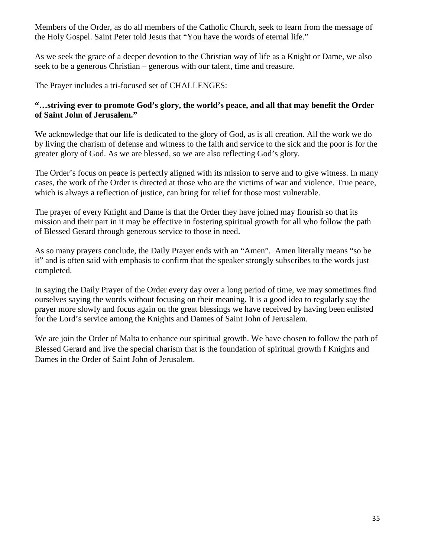Members of the Order, as do all members of the Catholic Church, seek to learn from the message of the Holy Gospel. Saint Peter told Jesus that "You have the words of eternal life."

As we seek the grace of a deeper devotion to the Christian way of life as a Knight or Dame, we also seek to be a generous Christian – generous with our talent, time and treasure.

The Prayer includes a tri-focused set of CHALLENGES:

## **"…striving ever to promote God's glory, the world's peace, and all that may benefit the Order of Saint John of Jerusalem."**

We acknowledge that our life is dedicated to the glory of God, as is all creation. All the work we do by living the charism of defense and witness to the faith and service to the sick and the poor is for the greater glory of God. As we are blessed, so we are also reflecting God's glory.

The Order's focus on peace is perfectly aligned with its mission to serve and to give witness. In many cases, the work of the Order is directed at those who are the victims of war and violence. True peace, which is always a reflection of justice, can bring for relief for those most vulnerable.

The prayer of every Knight and Dame is that the Order they have joined may flourish so that its mission and their part in it may be effective in fostering spiritual growth for all who follow the path of Blessed Gerard through generous service to those in need.

As so many prayers conclude, the Daily Prayer ends with an "Amen". Amen literally means "so be it" and is often said with emphasis to confirm that the speaker strongly subscribes to the words just completed.

In saying the Daily Prayer of the Order every day over a long period of time, we may sometimes find ourselves saying the words without focusing on their meaning. It is a good idea to regularly say the prayer more slowly and focus again on the great blessings we have received by having been enlisted for the Lord's service among the Knights and Dames of Saint John of Jerusalem.

We are join the Order of Malta to enhance our spiritual growth. We have chosen to follow the path of Blessed Gerard and live the special charism that is the foundation of spiritual growth f Knights and Dames in the Order of Saint John of Jerusalem.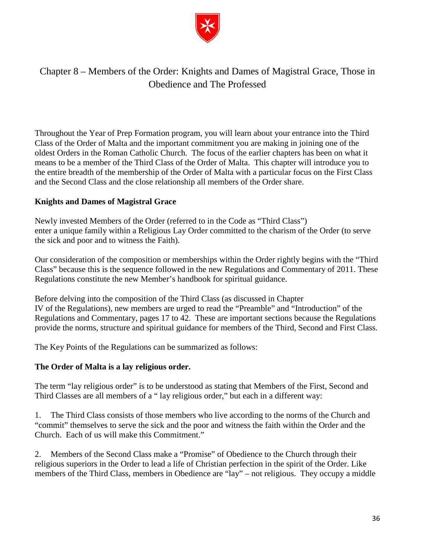

## <span id="page-37-0"></span>Chapter 8 – Members of the Order: Knights and Dames of Magistral Grace, Those in Obedience and The Professed

Throughout the Year of Prep Formation program, you will learn about your entrance into the Third Class of the Order of Malta and the important commitment you are making in joining one of the oldest Orders in the Roman Catholic Church. The focus of the earlier chapters has been on what it means to be a member of the Third Class of the Order of Malta. This chapter will introduce you to the entire breadth of the membership of the Order of Malta with a particular focus on the First Class and the Second Class and the close relationship all members of the Order share.

## **Knights and Dames of Magistral Grace**

Newly invested Members of the Order (referred to in the Code as "Third Class") enter a unique family within a Religious Lay Order committed to the charism of the Order (to serve the sick and poor and to witness the Faith).

Our consideration of the composition or memberships within the Order rightly begins with the "Third Class" because this is the sequence followed in the new Regulations and Commentary of 2011. These Regulations constitute the new Member's handbook for spiritual guidance.

Before delving into the composition of the Third Class (as discussed in Chapter IV of the Regulations), new members are urged to read the "Preamble" and "Introduction" of the Regulations and Commentary, pages 17 to 42. These are important sections because the Regulations provide the norms, structure and spiritual guidance for members of the Third, Second and First Class.

The Key Points of the Regulations can be summarized as follows:

#### **The Order of Malta is a lay religious order.**

The term "lay religious order" is to be understood as stating that Members of the First, Second and Third Classes are all members of a " lay religious order," but each in a different way:

1. The Third Class consists of those members who live according to the norms of the Church and "commit" themselves to serve the sick and the poor and witness the faith within the Order and the Church. Each of us will make this Commitment."

2. Members of the Second Class make a "Promise" of Obedience to the Church through their religious superiors in the Order to lead a life of Christian perfection in the spirit of the Order. Like members of the Third Class, members in Obedience are "lay" – not religious. They occupy a middle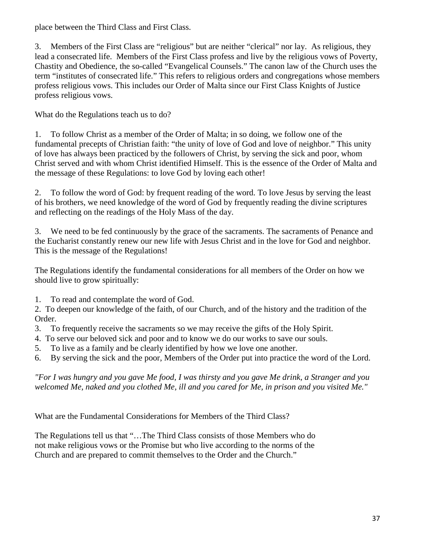place between the Third Class and First Class.

3. Members of the First Class are "religious" but are neither "clerical" nor lay. As religious, they lead a consecrated life. Members of the First Class profess and live by the religious vows of Poverty, Chastity and Obedience, the so-called "Evangelical Counsels." The canon law of the Church uses the term "institutes of consecrated life." This refers to religious orders and congregations whose members profess religious vows. This includes our Order of Malta since our First Class Knights of Justice profess religious vows.

What do the Regulations teach us to do?

1. To follow Christ as a member of the Order of Malta; in so doing, we follow one of the fundamental precepts of Christian faith: "the unity of love of God and love of neighbor." This unity of love has always been practiced by the followers of Christ, by serving the sick and poor, whom Christ served and with whom Christ identified Himself. This is the essence of the Order of Malta and the message of these Regulations: to love God by loving each other!

2. To follow the word of God: by frequent reading of the word. To love Jesus by serving the least of his brothers, we need knowledge of the word of God by frequently reading the divine scriptures and reflecting on the readings of the Holy Mass of the day.

3. We need to be fed continuously by the grace of the sacraments. The sacraments of Penance and the Eucharist constantly renew our new life with Jesus Christ and in the love for God and neighbor. This is the message of the Regulations!

The Regulations identify the fundamental considerations for all members of the Order on how we should live to grow spiritually:

1. To read and contemplate the word of God.

2. To deepen our knowledge of the faith, of our Church, and of the history and the tradition of the Order.

- 3. To frequently receive the sacraments so we may receive the gifts of the Holy Spirit.
- 4. To serve our beloved sick and poor and to know we do our works to save our souls.
- 5. To live as a family and be clearly identified by how we love one another.
- 6. By serving the sick and the poor, Members of the Order put into practice the word of the Lord.

*"For I was hungry and you gave Me food, I was thirsty and you gave Me drink, a Stranger and you welcomed Me, naked and you clothed Me, ill and you cared for Me, in prison and you visited Me."*

What are the Fundamental Considerations for Members of the Third Class?

The Regulations tell us that "…The Third Class consists of those Members who do not make religious vows or the Promise but who live according to the norms of the Church and are prepared to commit themselves to the Order and the Church."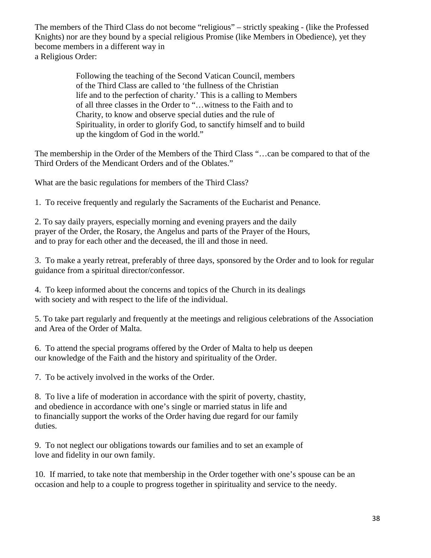The members of the Third Class do not become "religious" – strictly speaking - (like the Professed Knights) nor are they bound by a special religious Promise (like Members in Obedience), yet they become members in a different way in a Religious Order:

> Following the teaching of the Second Vatican Council, members of the Third Class are called to 'the fullness of the Christian life and to the perfection of charity.' This is a calling to Members of all three classes in the Order to "…witness to the Faith and to Charity, to know and observe special duties and the rule of Spirituality, in order to glorify God, to sanctify himself and to build up the kingdom of God in the world."

The membership in the Order of the Members of the Third Class "…can be compared to that of the Third Orders of the Mendicant Orders and of the Oblates."

What are the basic regulations for members of the Third Class?

1. To receive frequently and regularly the Sacraments of the Eucharist and Penance.

2. To say daily prayers, especially morning and evening prayers and the daily prayer of the Order, the Rosary, the Angelus and parts of the Prayer of the Hours, and to pray for each other and the deceased, the ill and those in need.

3. To make a yearly retreat, preferably of three days, sponsored by the Order and to look for regular guidance from a spiritual director/confessor.

4. To keep informed about the concerns and topics of the Church in its dealings with society and with respect to the life of the individual.

5. To take part regularly and frequently at the meetings and religious celebrations of the Association and Area of the Order of Malta.

6. To attend the special programs offered by the Order of Malta to help us deepen our knowledge of the Faith and the history and spirituality of the Order.

7. To be actively involved in the works of the Order.

8. To live a life of moderation in accordance with the spirit of poverty, chastity, and obedience in accordance with one's single or married status in life and to financially support the works of the Order having due regard for our family duties.

9. To not neglect our obligations towards our families and to set an example of love and fidelity in our own family.

10. If married, to take note that membership in the Order together with one's spouse can be an occasion and help to a couple to progress together in spirituality and service to the needy.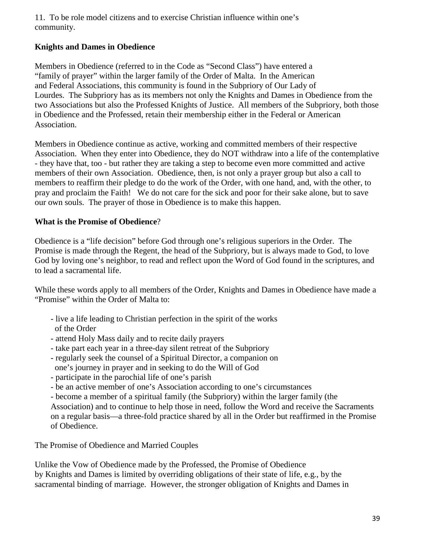11. To be role model citizens and to exercise Christian influence within one's community.

## **Knights and Dames in Obedience**

Members in Obedience (referred to in the Code as "Second Class") have entered a "family of prayer" within the larger family of the Order of Malta. In the American and Federal Associations, this community is found in the Subpriory of Our Lady of Lourdes. The Subpriory has as its members not only the Knights and Dames in Obedience from the two Associations but also the Professed Knights of Justice. All members of the Subpriory, both those in Obedience and the Professed, retain their membership either in the Federal or American Association.

Members in Obedience continue as active, working and committed members of their respective Association. When they enter into Obedience, they do NOT withdraw into a life of the contemplative - they have that, too - but rather they are taking a step to become even more committed and active members of their own Association. Obedience, then, is not only a prayer group but also a call to members to reaffirm their pledge to do the work of the Order, with one hand, and, with the other, to pray and proclaim the Faith! We do not care for the sick and poor for their sake alone, but to save our own souls. The prayer of those in Obedience is to make this happen.

## **What is the Promise of Obedience**?

Obedience is a "life decision" before God through one's religious superiors in the Order. The Promise is made through the Regent, the head of the Subpriory, but is always made to God, to love God by loving one's neighbor, to read and reflect upon the Word of God found in the scriptures, and to lead a sacramental life.

While these words apply to all members of the Order, Knights and Dames in Obedience have made a "Promise" within the Order of Malta to:

- live a life leading to Christian perfection in the spirit of the works of the Order
- attend Holy Mass daily and to recite daily prayers
- take part each year in a three-day silent retreat of the Subpriory
- regularly seek the counsel of a Spiritual Director, a companion on one's journey in prayer and in seeking to do the Will of God
- participate in the parochial life of one's parish
- be an active member of one's Association according to one's circumstances
- become a member of a spiritual family (the Subpriory) within the larger family (the

Association) and to continue to help those in need, follow the Word and receive the Sacraments on a regular basis—a three-fold practice shared by all in the Order but reaffirmed in the Promise of Obedience.

The Promise of Obedience and Married Couples

Unlike the Vow of Obedience made by the Professed, the Promise of Obedience by Knights and Dames is limited by overriding obligations of their state of life, e.g., by the sacramental binding of marriage. However, the stronger obligation of Knights and Dames in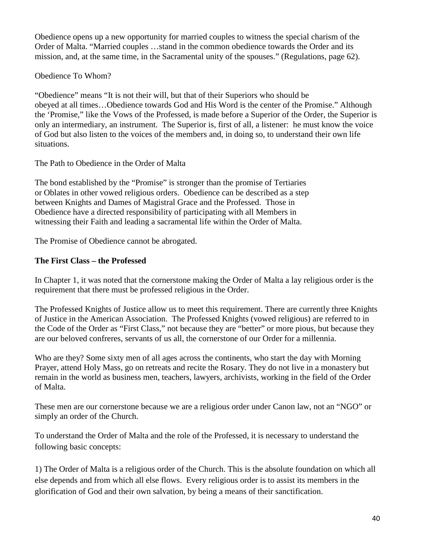Obedience opens up a new opportunity for married couples to witness the special charism of the Order of Malta. "Married couples …stand in the common obedience towards the Order and its mission, and, at the same time, in the Sacramental unity of the spouses." (Regulations, page 62).

Obedience To Whom?

"Obedience" means "It is not their will, but that of their Superiors who should be obeyed at all times…Obedience towards God and His Word is the center of the Promise." Although the 'Promise," like the Vows of the Professed, is made before a Superior of the Order, the Superior is only an intermediary, an instrument. The Superior is, first of all, a listener: he must know the voice of God but also listen to the voices of the members and, in doing so, to understand their own life situations.

The Path to Obedience in the Order of Malta

The bond established by the "Promise" is stronger than the promise of Tertiaries or Oblates in other vowed religious orders. Obedience can be described as a step between Knights and Dames of Magistral Grace and the Professed. Those in Obedience have a directed responsibility of participating with all Members in witnessing their Faith and leading a sacramental life within the Order of Malta.

The Promise of Obedience cannot be abrogated.

## **The First Class – the Professed**

In Chapter 1, it was noted that the cornerstone making the Order of Malta a lay religious order is the requirement that there must be professed religious in the Order.

The Professed Knights of Justice allow us to meet this requirement. There are currently three Knights of Justice in the American Association. The Professed Knights (vowed religious) are referred to in the Code of the Order as "First Class," not because they are "better" or more pious, but because they are our beloved confreres, servants of us all, the cornerstone of our Order for a millennia.

Who are they? Some sixty men of all ages across the continents, who start the day with Morning Prayer, attend Holy Mass, go on retreats and recite the Rosary. They do not live in a monastery but remain in the world as business men, teachers, lawyers, archivists, working in the field of the Order of Malta.

These men are our cornerstone because we are a religious order under Canon law, not an "NGO" or simply an order of the Church.

To understand the Order of Malta and the role of the Professed, it is necessary to understand the following basic concepts:

1) The Order of Malta is a religious order of the Church. This is the absolute foundation on which all else depends and from which all else flows. Every religious order is to assist its members in the glorification of God and their own salvation, by being a means of their sanctification.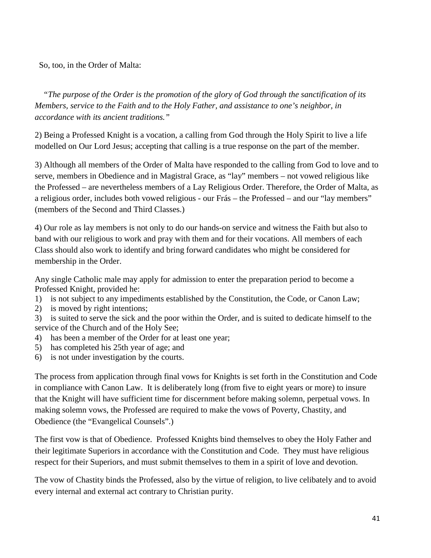So, too, in the Order of Malta:

*"The purpose of the Order is the promotion of the glory of God through the sanctification of its Members, service to the Faith and to the Holy Father, and assistance to one's neighbor, in accordance with its ancient traditions."*

2) Being a Professed Knight is a vocation, a calling from God through the Holy Spirit to live a life modelled on Our Lord Jesus; accepting that calling is a true response on the part of the member.

3) Although all members of the Order of Malta have responded to the calling from God to love and to serve, members in Obedience and in Magistral Grace, as "lay" members – not vowed religious like the Professed – are nevertheless members of a Lay Religious Order. Therefore, the Order of Malta, as a religious order, includes both vowed religious - our Frás – the Professed – and our "lay members" (members of the Second and Third Classes.)

4) Our role as lay members is not only to do our hands-on service and witness the Faith but also to band with our religious to work and pray with them and for their vocations. All members of each Class should also work to identify and bring forward candidates who might be considered for membership in the Order.

Any single Catholic male may apply for admission to enter the preparation period to become a Professed Knight, provided he:

1) is not subject to any impediments established by the Constitution, the Code, or Canon Law;

2) is moved by right intentions;

3) is suited to serve the sick and the poor within the Order, and is suited to dedicate himself to the service of the Church and of the Holy See;

- 4) has been a member of the Order for at least one year;
- 5) has completed his 25th year of age; and
- 6) is not under investigation by the courts.

The process from application through final vows for Knights is set forth in the Constitution and Code in compliance with Canon Law. It is deliberately long (from five to eight years or more) to insure that the Knight will have sufficient time for discernment before making solemn, perpetual vows. In making solemn vows, the Professed are required to make the vows of Poverty, Chastity, and Obedience (the "Evangelical Counsels".)

The first vow is that of Obedience. Professed Knights bind themselves to obey the Holy Father and their legitimate Superiors in accordance with the Constitution and Code. They must have religious respect for their Superiors, and must submit themselves to them in a spirit of love and devotion.

The vow of Chastity binds the Professed, also by the virtue of religion, to live celibately and to avoid every internal and external act contrary to Christian purity.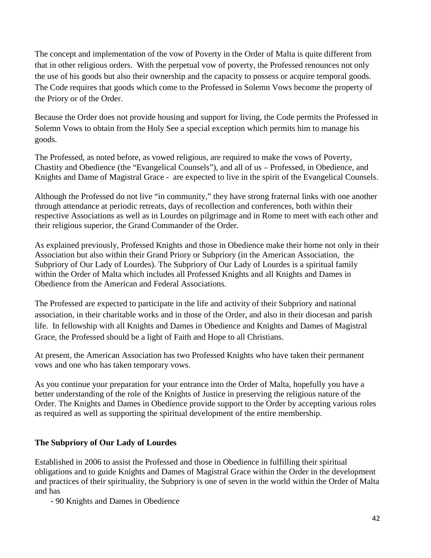The concept and implementation of the vow of Poverty in the Order of Malta is quite different from that in other religious orders. With the perpetual vow of poverty, the Professed renounces not only the use of his goods but also their ownership and the capacity to possess or acquire temporal goods. The Code requires that goods which come to the Professed in Solemn Vows become the property of the Priory or of the Order.

Because the Order does not provide housing and support for living, the Code permits the Professed in Solemn Vows to obtain from the Holy See a special exception which permits him to manage his goods.

The Professed, as noted before, as vowed religious, are required to make the vows of Poverty, Chastity and Obedience (the "Evangelical Counsels"), and all of us – Professed, in Obedience, and Knights and Dame of Magistral Grace - are expected to live in the spirit of the Evangelical Counsels.

Although the Professed do not live "in community," they have strong fraternal links with one another through attendance at periodic retreats, days of recollection and conferences, both within their respective Associations as well as in Lourdes on pilgrimage and in Rome to meet with each other and their religious superior, the Grand Commander of the Order.

As explained previously, Professed Knights and those in Obedience make their home not only in their Association but also within their Grand Priory or Subpriory (in the American Association, the Subpriory of Our Lady of Lourdes). The Subpriory of Our Lady of Lourdes is a spiritual family within the Order of Malta which includes all Professed Knights and all Knights and Dames in Obedience from the American and Federal Associations.

The Professed are expected to participate in the life and activity of their Subpriory and national association, in their charitable works and in those of the Order, and also in their diocesan and parish life. In fellowship with all Knights and Dames in Obedience and Knights and Dames of Magistral Grace, the Professed should be a light of Faith and Hope to all Christians.

At present, the American Association has two Professed Knights who have taken their permanent vows and one who has taken temporary vows.

As you continue your preparation for your entrance into the Order of Malta, hopefully you have a better understanding of the role of the Knights of Justice in preserving the religious nature of the Order. The Knights and Dames in Obedience provide support to the Order by accepting various roles as required as well as supporting the spiritual development of the entire membership.

## **The Subpriory of Our Lady of Lourdes**

Established in 2006 to assist the Professed and those in Obedience in fulfilling their spiritual obligations and to guide Knights and Dames of Magistral Grace within the Order in the development and practices of their spirituality, the Subpriory is one of seven in the world within the Order of Malta and has

- 90 Knights and Dames in Obedience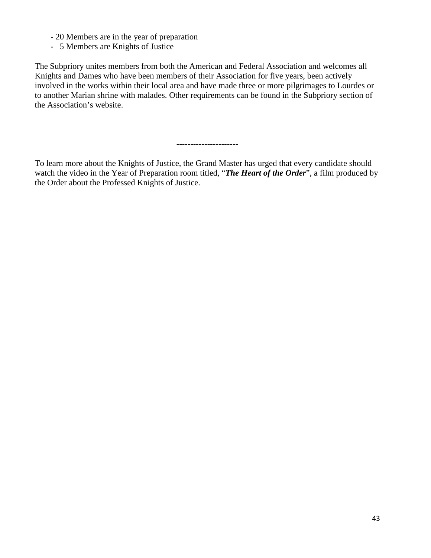- 20 Members are in the year of preparation
- 5 Members are Knights of Justice

The Subpriory unites members from both the American and Federal Association and welcomes all Knights and Dames who have been members of their Association for five years, been actively involved in the works within their local area and have made three or more pilgrimages to Lourdes or to another Marian shrine with malades. Other requirements can be found in the Subpriory section of the Association's website.

----------------------

To learn more about the Knights of Justice, the Grand Master has urged that every candidate should watch the video in the Year of Preparation room titled, "*The Heart of the Order*", a film produced by the Order about the Professed Knights of Justice.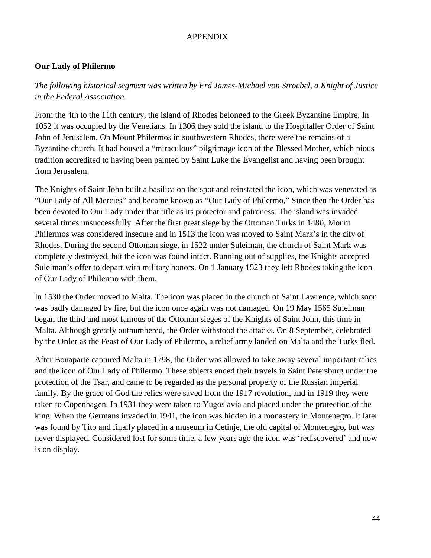## APPENDIX

## <span id="page-45-0"></span>**Our Lady of Philermo**

*The following historical segment was written by Frá James-Michael von Stroebel, a Knight of Justice in the Federal Association.*

From the 4th to the 11th century, the island of Rhodes belonged to the Greek Byzantine Empire. In 1052 it was occupied by the Venetians. In 1306 they sold the island to the Hospitaller Order of Saint John of Jerusalem. On Mount Philermos in southwestern Rhodes, there were the remains of a Byzantine church. It had housed a "miraculous" pilgrimage icon of the Blessed Mother, which pious tradition accredited to having been painted by Saint Luke the Evangelist and having been brought from Jerusalem.

The Knights of Saint John built a basilica on the spot and reinstated the icon, which was venerated as "Our Lady of All Mercies" and became known as "Our Lady of Philermo," Since then the Order has been devoted to Our Lady under that title as its protector and patroness. The island was invaded several times unsuccessfully. After the first great siege by the Ottoman Turks in 1480, Mount Philermos was considered insecure and in 1513 the icon was moved to Saint Mark's in the city of Rhodes. During the second Ottoman siege, in 1522 under Suleiman, the church of Saint Mark was completely destroyed, but the icon was found intact. Running out of supplies, the Knights accepted Suleiman's offer to depart with military honors. On 1 January 1523 they left Rhodes taking the icon of Our Lady of Philermo with them.

In 1530 the Order moved to Malta. The icon was placed in the church of Saint Lawrence, which soon was badly damaged by fire, but the icon once again was not damaged. On 19 May 1565 Suleiman began the third and most famous of the Ottoman sieges of the Knights of Saint John, this time in Malta. Although greatly outnumbered, the Order withstood the attacks. On 8 September, celebrated by the Order as the Feast of Our Lady of Philermo, a relief army landed on Malta and the Turks fled.

After Bonaparte captured Malta in 1798, the Order was allowed to take away several important relics and the icon of Our Lady of Philermo. These objects ended their travels in Saint Petersburg under the protection of the Tsar, and came to be regarded as the personal property of the Russian imperial family. By the grace of God the relics were saved from the 1917 revolution, and in 1919 they were taken to Copenhagen. In 1931 they were taken to Yugoslavia and placed under the protection of the king. When the Germans invaded in 1941, the icon was hidden in a monastery in Montenegro. It later was found by Tito and finally placed in a museum in Cetinje, the old capital of Montenegro, but was never displayed. Considered lost for some time, a few years ago the icon was 'rediscovered' and now is on display.